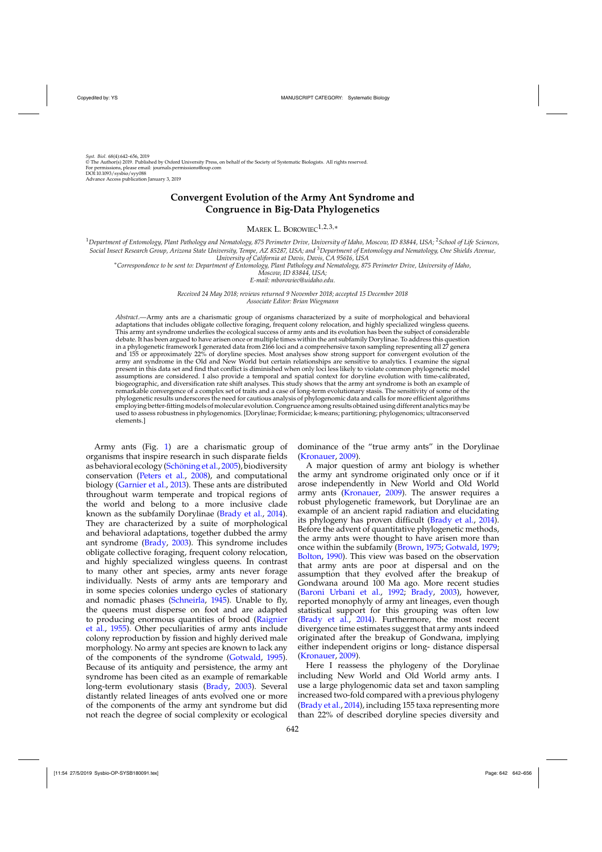*Syst. Biol.* 68(4):642–656, 2019 © The Author(s) 2019. Published by Oxford University Press, on behalf of the Society of Systematic Biologists. All rights reserved. For permissions, please email: journals.permissions@oup.com DOI:10.1093/sysbio/syy088 Advance Access publication January 3, 2019

# **Convergent Evolution of the Army Ant Syndrome and Congruence in Big-Data Phylogenetics**

MAREK L. BOROWIEC<sup>1,2,3,∗</sup>

<sup>1</sup>Department of Entomology, Plant Pathology and Nematology, 875 Perimeter Drive, University of Idaho, Moscow, ID 83844, USA; <sup>2</sup>School of Life Sciences, Social Insect Research Group, Arizona State University, Tempe, AZ 85287, USA; and <sup>3</sup>Department of Entomology and Nematology, One Shields Avenue, *University of California at Davis, Davis, CA 95616, USA*

\*Correspondence to be sent to: Department of Entomology, Plant Pathology and Nematology, 875 Perimeter Drive, University of Idaho,

*Moscow, ID 83844, USA;*

*E-mail: mborowiec@uidaho.edu.*

*Received 24 May 2018; reviews returned 9 November 2018; accepted 15 December 2018 Associate Editor: Brian Wiegmann*

*Abstract*.—Army ants are a charismatic group of organisms characterized by a suite of morphological and behavioral adaptations that includes obligate collective foraging, frequent colony relocation, and highly specialized wingless queens. This army ant syndrome underlies the ecological success of army ants and its evolution has been the subject of considerable debate. It has been argued to have arisen once or multiple times within the ant subfamily Dorylinae. To address this question in a phylogenetic framework I generated data from 2166 loci and a comprehensive taxon sampling representing all 27 genera and 155 or approximately 22% of doryline species. Most analyses show strong support for convergent evolution of the army ant syndrome in the Old and New World but certain relationships are sensitive to analytics. I examine the signal present in this data set and find that conflict is diminished when only loci less likely to violate common phylogenetic model assumptions are considered. I also provide a temporal and spatial context for doryline evolution with time-calibrated, biogeographic, and diversification rate shift analyses. This study shows that the army ant syndrome is both an example of remarkable convergence of a complex set of traits and a case of long-term evolutionary stasis. The sensitivity of some of the phylogenetic results underscores the need for cautious analysis of phylogenomic data and calls for more efficient algorithms employing better-fitting models of molecular evolution. Congruence among results obtained using different analytics may be used to assess robustness in phylogenomics. [Dorylinae; Formicidae; k-means; partitioning; phylogenomics; ultraconserved elements.]

Army ants (Fig. [1\)](#page-1-0) are a charismatic group of organisms that inspire research in such disparate fields as behavioral ecology [\(Schöning](#page-13-0) et al., [2005](#page-13-0)), biodiversity conservation [\(Peters](#page-13-0) et al., [2008](#page-13-0)), and computational biology [\(Garnier](#page-12-0) et al., [2013\)](#page-12-0). These ants are distributed throughout warm temperate and tropical regions of the world and belong to a more inclusive clade known as the subfamily Dorylinae [\(Brady](#page-12-0) et al., [2014](#page-12-0)). They are characterized by a suite of morphological and behavioral adaptations, together dubbed the army ant syndrome [\(Brady,](#page-12-0) [2003](#page-12-0)). This syndrome includes obligate collective foraging, frequent colony relocation, and highly specialized wingless queens. In contrast to many other ant species, army ants never forage individually. Nests of army ants are temporary and in some species colonies undergo cycles of stationary and nomadic phases [\(Schneirla](#page-13-0), [1945\)](#page-13-0). Unable to fly, the queens must disperse on foot and are adapted to producing [enormous](#page-13-0) quantities of brood (Raignier et al., [1955](#page-13-0)). Other peculiarities of army ants include colony reproduction by fission and highly derived male morphology. No army ant species are known to lack any of the components of the syndrome [\(Gotwald](#page-12-0), [1995](#page-12-0)). Because of its antiquity and persistence, the army ant syndrome has been cited as an example of remarkable long-term evolutionary stasis [\(Brady](#page-12-0), [2003\)](#page-12-0). Several distantly related lineages of ants evolved one or more of the components of the army ant syndrome but did not reach the degree of social complexity or ecological

dominance of the "true army ants" in the Dorylinae [\(Kronauer](#page-13-0), [2009\)](#page-13-0).

A major question of army ant biology is whether the army ant syndrome originated only once or if it arose independently in New World and Old World army ants [\(Kronauer,](#page-13-0) [2009\)](#page-13-0). The answer requires a robust phylogenetic framework, but Dorylinae are an example of an ancient rapid radiation and elucidating its phylogeny has proven difficult [\(Brady](#page-12-0) et al., [2014\)](#page-12-0). Before the advent of quantitative phylogenetic methods, the army ants were thought to have arisen more than once within the subfamily [\(Brown,](#page-12-0) [1975;](#page-12-0) [Gotwald,](#page-12-0) [1979](#page-12-0); [Bolton](#page-12-0), [1990\)](#page-12-0). This view was based on the observation that army ants are poor at dispersal and on the assumption that they evolved after the breakup of Gondwana around 100 Ma ago. More recent studies (Baroni [Urbani](#page-11-0) et al., [1992](#page-11-0); [Brady](#page-12-0), [2003](#page-12-0)), however, reported monophyly of army ant lineages, even though statistical support for this grouping was often low [\(Brady](#page-12-0) et al., [2014](#page-12-0)). Furthermore, the most recent divergence time estimates suggest that army ants indeed originated after the breakup of Gondwana, implying either independent origins or long- distance dispersal [\(Kronauer](#page-13-0), [2009\)](#page-13-0).

Here I reassess the phylogeny of the Dorylinae including New World and Old World army ants. I use a large phylogenomic data set and taxon sampling increased two-fold compared with a previous phylogeny [\(Brady](#page-12-0) et al., [2014\)](#page-12-0), including 155 taxa representing more than 22% of described doryline species diversity and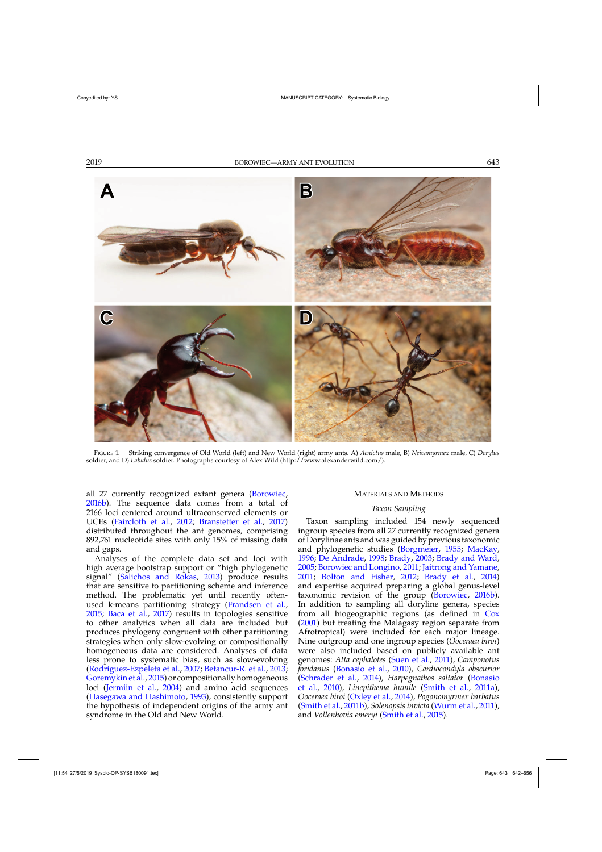<span id="page-1-0"></span>

FIGURE 1. Striking convergence of Old World (left) and New World (right) army ants. A) *Aenictus* male, B) *Neivamyrmex* male, C) *Dorylus* soldier, and D) *Labidus* soldier. Photographs courtesy of Alex Wild (http://www.alexanderwild.com/).

all 27 currently recognized extant genera [\(Borowiec](#page-12-0), [2016b](#page-12-0)). The sequence data comes from a total of 2166 loci centered around ultraconserved elements or UCEs [\(Faircloth](#page-12-0) et al., [2012;](#page-12-0) [Branstetter](#page-12-0) et al., [2017](#page-12-0)) distributed throughout the ant genomes, comprising 892,761 nucleotide sites with only 15% of missing data and gaps.

Analyses of the complete data set and loci with high average bootstrap support or "high phylogenetic signal" [\(Salichos](#page-13-0) and Rokas, [2013](#page-13-0)) produce results that are sensitive to partitioning scheme and inference method. The problematic yet until recently oftenused k-means partitioning strategy [\(Frandsen](#page-12-0) et al., [2015;](#page-12-0) [Baca](#page-11-0) et al., [2017](#page-11-0)) results in topologies sensitive to other analytics when all data are included but produces phylogeny congruent with other partitioning strategies when only slow-evolving or compositionally homogeneous data are considered. Analyses of data less prone to systematic bias, such as slow-evolving [\(Rodríguez-Ezpeleta](#page-13-0) et al., [2007;](#page-13-0) [Betancur-R.](#page-11-0) et al., [2013](#page-11-0); [Goremykin](#page-12-0) et al., [2015](#page-12-0)) or compositionally homogeneous loci [\(Jermiin](#page-12-0) et al., [2004](#page-12-0)) and amino acid sequences (Hasegawa and [Hashimoto,](#page-12-0) [1993\)](#page-12-0), consistently support the hypothesis of independent origins of the army ant syndrome in the Old and New World.

## MATERIALS AND METHODS

### *Taxon Sampling*

Taxon sampling included 154 newly sequenced ingroup species from all 27 currently recognized genera ofDorylinae ants and was guidedby previous taxonomic and phylogenetic studies [\(Borgmeier](#page-12-0), [1955](#page-12-0); [MacKay](#page-13-0), [1996](#page-13-0); De [Andrade,](#page-12-0) [1998;](#page-12-0) [Brady,](#page-12-0) [2003](#page-12-0); [Brady](#page-12-0) and Ward, [2005;](#page-12-0) [Borowiec](#page-12-0) and Longino, [2011](#page-12-0); [Jaitrong](#page-12-0) and Yamane, [2011;](#page-12-0) [Bolton](#page-12-0) and Fisher, [2012;](#page-12-0) [Brady](#page-12-0) et al., [2014\)](#page-12-0) and expertise acquired preparing a global genus-level taxonomic revision of the group [\(Borowiec](#page-12-0), [2016b](#page-12-0)). In addition to sampling all doryline genera, species from all biogeographic regions (as defined in [Cox](#page-12-0) [\(2001\)](#page-12-0) but treating the Malagasy region separate from Afrotropical) were included for each major lineage. Nine outgroup and one ingroup species (*Ooceraea biroi*) were also included based on publicly available ant genomes: *Atta cephalotes* [\(Suen](#page-14-0) et al., [2011](#page-14-0)), *Camponotus foridanus* [\(Bonasio](#page-12-0) et al., [2010\)](#page-12-0), *Cardiocondyla obscurior* [\(Schrader](#page-13-0) et al., [2014\)](#page-13-0), *[Harpegnathos](#page-12-0) saltator* (Bonasio et al., [2010](#page-12-0)), *Linepithema humile* [\(Smith](#page-13-0) et al., [2011a](#page-13-0)), *Ooceraea biroi* [\(Oxley](#page-13-0) et al., [2014\)](#page-13-0), *Pogonomyrmex barbatus* [\(Smith](#page-13-0) et al., [2011b](#page-13-0)), *Solenopsisinvicta* [\(Wurm](#page-14-0) et al., [2011](#page-14-0)), and *Vollenhovia emeryi* [\(Smith](#page-13-0) et al., [2015\)](#page-13-0).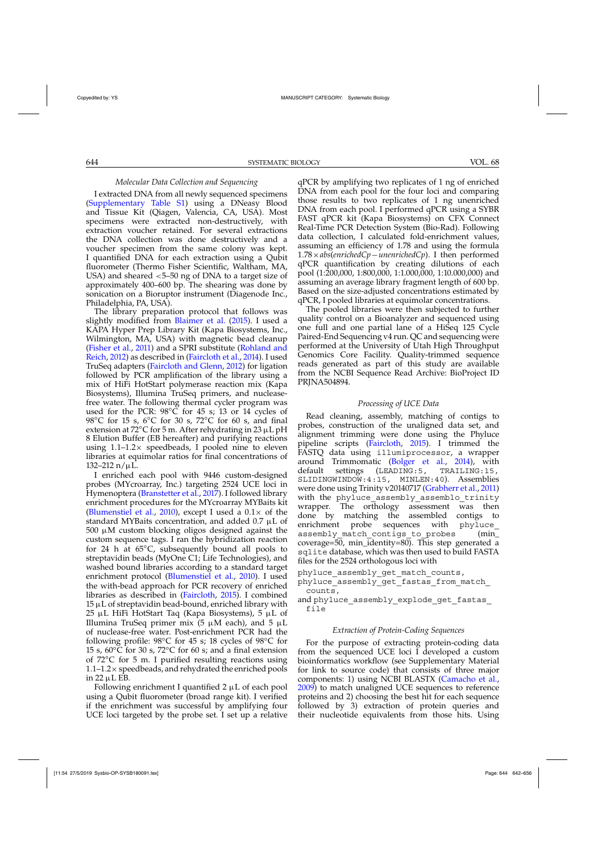### *Molecular Data Collection and Sequencing*

I extracted DNA from all newly sequenced specimens [\(Supplementary](https://academic.oup.com/sysbio/article-lookup/doi/10.1093/sysbio/syy088#supplementary-data) [Table](https://academic.oup.com/sysbio/article-lookup/doi/10.1093/sysbio/syy088#supplementary-data) S1) using a DNeasy Blood and Tissue Kit (Qiagen, Valencia, CA, USA). Most specimens were extracted non-destructively, with extraction voucher retained. For several extractions the DNA collection was done destructively and a voucher specimen from the same colony was kept. I quantified DNA for each extraction using a Qubit fluorometer (Thermo Fisher Scientific, Waltham, MA, USA) and sheared <5–50 ng of DNA to a target size of approximately 400–600 bp. The shearing was done by sonication on a Bioruptor instrument (Diagenode Inc., Philadelphia, PA, USA).

The library preparation protocol that follows was slightly modified from [Blaimer](#page-12-0) et al. [\(2015\)](#page-12-0). I used a KAPA Hyper Prep Library Kit (Kapa Biosystems, Inc., Wilmington, MA, USA) with magnetic bead cleanup [\(Fisher](#page-12-0) et al., [2011](#page-12-0)) and a SPRI [substitute](#page-13-0) (Rohland and Reich, [2012\)](#page-13-0) as described in [\(Faircloth](#page-12-0) et al., [2014\)](#page-12-0). I used TruSeq adapters [\(Faircloth](#page-12-0) and Glenn, [2012\)](#page-12-0) for ligation followed by PCR amplification of the library using a mix of HiFi HotStart polymerase reaction mix (Kapa Biosystems), Illumina TruSeq primers, and nucleasefree water. The following thermal cycler program was used for the PCR:  $98^{\circ}$ C for 45 s; 13 or 14 cycles of 98 $°C$  for 15 s, 6 $°C$  for 30 s, 72 $°C$  for 60 s, and final extension at 72°C for 5 m. After rehydrating in 23  $\rm \mu L$  pH 8 Elution Buffer (EB hereafter) and purifying reactions using  $1.1-1.2\times$  speedbeads, I pooled nine to eleven libraries at equimolar ratios for final concentrations of 132–212 n/μL.

I enriched each pool with 9446 custom-designed probes (MYcroarray, Inc.) targeting 2524 UCE loci in Hymenoptera [\(Branstetter](#page-12-0) et al., [2017\)](#page-12-0). I followed library enrichment procedures for the MYcroarray MYBaits kit [\(Blumenstiel](#page-12-0) et al., [2010](#page-12-0)), except I used a  $0.1\times$  of the standard MYBaits concentration, and added  $0.7~\upmu\rm L$  of  $500$   $\mu$ M custom blocking oligos designed against the custom sequence tags. I ran the hybridization reaction for 24 h at  $65^{\circ}$ C, subsequently bound all pools to streptavidin beads (MyOne C1; Life Technologies), and washed bound libraries according to a standard target enrichment protocol [\(Blumenstiel](#page-12-0) et al., [2010](#page-12-0)). I used the with-bead approach for PCR recovery of enriched libraries as described in [\(Faircloth,](#page-12-0) [2015\)](#page-12-0). I combined 15  $\upmu$ L of streptavidin bead-bound, enriched library with 25 µL HiFi HotStart Taq (Kapa Biosystems), 5 µL of Illumina TruSeq primer mix (5  $\upmu \rm{M}$  each), and 5  $\upmu \rm{L}$ of nuclease-free water. Post-enrichment PCR had the following profile: 98◦C for 45 s; 18 cycles of 98◦C for 15 s, 60 $\degree$ C for 30 s, 72 $\degree$ C for 60 s; and a final extension of 72◦C for 5 m. I purified resulting reactions using 1.1–1.2× speedbeads, and rehydrated the enriched pools in 22  $\upmu$ L EB.

Following enrichment I quantified 2  $\mu$ L of each pool using a Qubit fluorometer (broad range kit). I verified if the enrichment was successful by amplifying four UCE loci targeted by the probe set. I set up a relative qPCR by amplifying two replicates of 1 ng of enriched DNA from each pool for the four loci and comparing those results to two replicates of 1 ng unenriched DNA from each pool. I performed qPCR using a SYBR FAST qPCR kit (Kapa Biosystems) on CFX Connect Real-Time PCR Detection System (Bio-Rad). Following data collection, I calculated fold-enrichment values, assuming an efficiency of 1.78 and using the formula 1.78×*abs*(*enrichedCp*−*unenrichedCp*). I then performed qPCR quantification by creating dilutions of each pool (1:200,000, 1:800,000, 1:1.000,000, 1:10.000,000) and assuming an average library fragment length of 600 bp. Based on the size-adjusted concentrations estimated by qPCR, I pooled libraries at equimolar concentrations.

The pooled libraries were then subjected to further quality control on a Bioanalyzer and sequenced using one full and one partial lane of a HiSeq 125 Cycle Paired-End Sequencing v4 run. QC and sequencing were performed at the University of Utah High Throughput Genomics Core Facility. Quality-trimmed sequence reads generated as part of this study are available from the NCBI Sequence Read Archive: BioProject ID PRJNA504894.

### *Processing of UCE Data*

Read cleaning, assembly, matching of contigs to probes, construction of the unaligned data set, and alignment trimming were done using the Phyluce pipeline scripts [\(Faircloth](#page-12-0), [2015\)](#page-12-0). I trimmed the FASTQ data using illumiprocessor, a wrapper around Trimmomatic [\(Bolger](#page-12-0) et al., [2014](#page-12-0)), with default settings (LEADING:5, TRAILING:15, SLIDINGWINDOW:4:15, MINLEN:40). Assemblies were done using Trinity v20140717 [\(Grabherr](#page-12-0) et al., [2011](#page-12-0)) with the phyluce assembly assemblo trinity wrapper. The orthology assessment was then done by matching the assembled contigs to enrichment probe sequences with phyluce assembly match contigs to probes (min\_ coverage=50, min\_identity=80). This step generated a sqlite database, which was then used to build FASTA files for the 2524 orthologous loci with

- phyluce assembly get match counts,
- phyluce\_assembly\_get\_fastas\_from\_match\_ counts,
- and phyluce assembly explode get fastas file

## *Extraction of Protein-Coding Sequences*

For the purpose of extracting protein-coding data from the sequenced UCE loci I developed a custom bioinformatics workflow (see Supplementary Material for link to source code) that consists of three major components: 1) using NCBI BLASTX [\(Camacho](#page-12-0) et al., [2009\)](#page-12-0) to match unaligned UCE sequences to reference proteins and 2) choosing the best hit for each sequence followed by 3) extraction of protein queries and their nucleotide equivalents from those hits. Using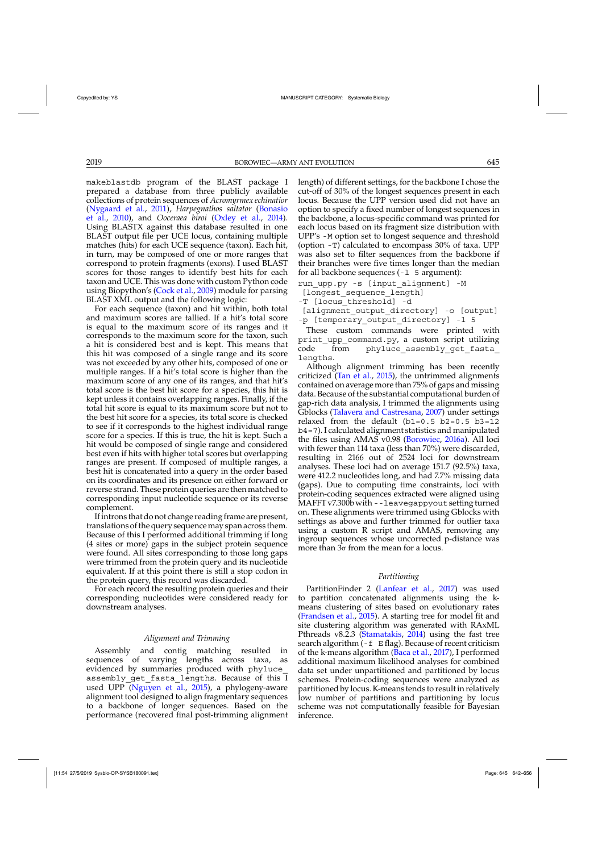makeblastdb program of the BLAST package I prepared a database from three publicly available collections of protein sequences of *Acromyrmex echinatior* [\(Nygaard](#page-13-0) et al., [2011](#page-13-0)), *[Harpegnathos](#page-12-0) saltator* (Bonasio et al., [2010](#page-12-0)), and *Ooceraea biroi* [\(Oxley](#page-13-0) et al., [2014\)](#page-13-0). Using BLASTX against this database resulted in one BLAST output file per UCE locus, containing multiple matches (hits) for each UCE sequence (taxon). Each hit, in turn, may be composed of one or more ranges that correspond to protein fragments (exons). I used BLAST scores for those ranges to identify best hits for each taxon and UCE. This was done with custom Python code using Biopython's [\(Cock](#page-12-0) et al., [2009\)](#page-12-0) module for parsing BLAST XML output and the following logic:

For each sequence (taxon) and hit within, both total and maximum scores are tallied. If a hit's total score is equal to the maximum score of its ranges and it corresponds to the maximum score for the taxon, such a hit is considered best and is kept. This means that this hit was composed of a single range and its score was not exceeded by any other hits, composed of one or multiple ranges. If a hit's total score is higher than the maximum score of any one of its ranges, and that hit's total score is the best hit score for a species, this hit is kept unless it contains overlapping ranges. Finally, if the total hit score is equal to its maximum score but not to the best hit score for a species, its total score is checked to see if it corresponds to the highest individual range score for a species. If this is true, the hit is kept. Such a hit would be composed of single range and considered best even if hits with higher total scores but overlapping ranges are present. If composed of multiple ranges, a best hit is concatenated into a query in the order based on its coordinates and its presence on either forward or reverse strand. These protein queries are then matched to corresponding input nucleotide sequence or its reverse complement.

If introns that do not change reading frame are present, translations of the query sequence may span across them. Because of this I performed additional trimming if long (4 sites or more) gaps in the subject protein sequence were found. All sites corresponding to those long gaps were trimmed from the protein query and its nucleotide equivalent. If at this point there is still a stop codon in the protein query, this record was discarded.

For each record the resulting protein queries and their corresponding nucleotides were considered ready for downstream analyses.

## *Alignment and Trimming*

Assembly and contig matching resulted in sequences of varying lengths across taxa, as evidenced by summaries produced with phyluce\_ assembly\_get\_fasta\_lengths. Because of this I used UPP [\(Nguyen](#page-13-0) et al., [2015\)](#page-13-0), a phylogeny-aware alignment tool designed to align fragmentary sequences to a backbone of longer sequences. Based on the performance (recovered final post-trimming alignment

length) of different settings, for the backbone I chose the cut-off of 30% of the longest sequences present in each locus. Because the UPP version used did not have an option to specify a fixed number of longest sequences in the backbone, a locus-specific command was printed for each locus based on its fragment size distribution with UPP's -M option set to longest sequence and threshold (option -T) calculated to encompass 30% of taxa. UPP was also set to filter sequences from the backbone if their branches were five times longer than the median for all backbone sequences (-l 5 argument):

run upp.py -s [input alignment] -M

[longest\_sequence\_length]

-T [locus\_threshold] -d

[alignment output directory] -o [output] -p [temporary\_output\_directory] -l 5

These custom commands were printed with print upp command.py, a custom script utilizing code from phyluce assembly get fasta lengths.

Although alignment trimming has been recently criticized [\(Tan](#page-14-0) et al., [2015](#page-14-0)), the untrimmed alignments contained on average more than 75% of gaps and missing data. Because of the substantial computational burden of gap-rich data analysis, I trimmed the alignments using Gblocks (Talavera and [Castresana](#page-14-0), [2007](#page-14-0)) under settings relaxed from the default  $(b1=0.5 b2=0.5 b3=12$ b4=7). I calculated alignment statistics and manipulated the files using AMAS v0.98 [\(Borowiec,](#page-12-0) [2016a\)](#page-12-0). All loci with fewer than 114 taxa (less than 70%) were discarded, resulting in 2166 out of 2524 loci for downstream analyses. These loci had on average 151.7 (92.5%) taxa, were 412.2 nucleotides long, and had 7.7% missing data (gaps). Due to computing time constraints, loci with protein-coding sequences extracted were aligned using  $MAFFT v7.300b with -leaveq approximately out setting turned$ on. These alignments were trimmed using Gblocks with settings as above and further trimmed for outlier taxa using a custom R script and AMAS, removing any ingroup sequences whose uncorrected p-distance was more than  $3\sigma$  from the mean for a locus.

## *Partitioning*

PartitionFinder 2 [\(Lanfear](#page-13-0) et al., [2017\)](#page-13-0) was used to partition concatenated alignments using the kmeans clustering of sites based on evolutionary rates [\(Frandsen](#page-12-0) et al., [2015\)](#page-12-0). A starting tree for model fit and site clustering algorithm was generated with RAxML Pthreads v8.2.3 [\(Stamatakis](#page-14-0), [2014](#page-14-0)) using the fast tree search algorithm  $(-f \t E flag)$ . Because of recent criticism of the k-means algorithm [\(Baca](#page-11-0) et al., [2017](#page-11-0)), I performed additional maximum likelihood analyses for combined data set under unpartitioned and partitioned by locus schemes. Protein-coding sequences were analyzed as partitioned by locus. K-means tends to result in relatively low number of partitions and partitioning by locus scheme was not computationally feasible for Bayesian inference.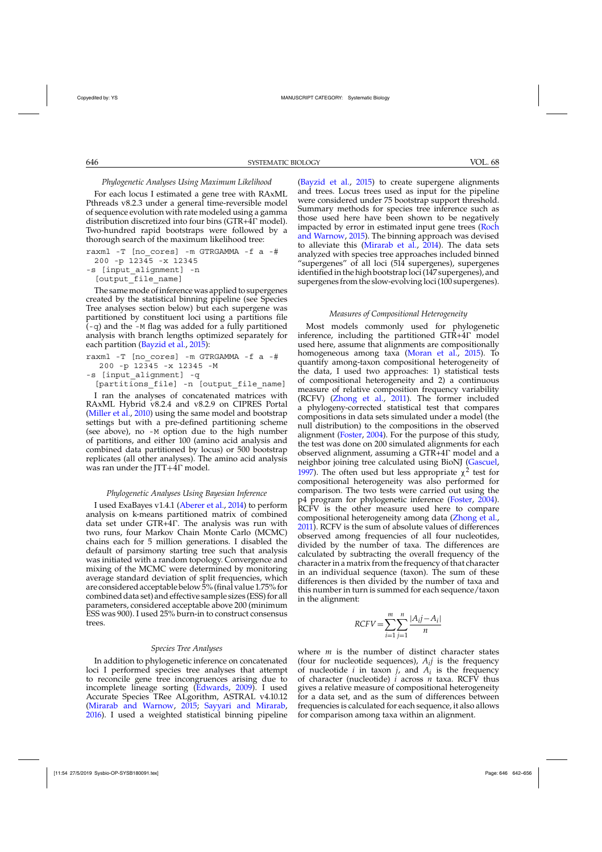### *Phylogenetic Analyses Using Maximum Likelihood*

For each locus I estimated a gene tree with RAxML Pthreads v8.2.3 under a general time-reversible model of sequence evolution with rate modeled using a gamma distribution discretized into four bins ( $GTR+4\Gamma$  model). Two-hundred rapid bootstraps were followed by a thorough search of the maximum likelihood tree:

```
raxml -T [no_cores] -m GTRGAMMA -f a -#
 200 -p 12345 -x 12345
-s [input_alignment] -n
 [output_file_name]
```
The same mode of inference was applied to supergenes created by the statistical binning pipeline (see Species Tree analyses section below) but each supergene was partitioned by constituent loci using a partitions file (-q) and the -M flag was added for a fully partitioned analysis with branch lengths optimized separately for each partition [\(Bayzid](#page-11-0) et al., [2015\)](#page-11-0):

```
raxml -T [no_cores] -m GTRGAMMA -f a -#
  200 -p 12345 -x 12345 -M
-s [input_alignment] -q
  [partitions file] -n [output file name]
```
I ran the analyses of concatenated matrices with RAxML Hybrid v8.2.4 and v8.2.9 on CIPRES Portal [\(Miller](#page-13-0) et al., [2010\)](#page-13-0) using the same model and bootstrap settings but with a pre-defined partitioning scheme (see above), no -M option due to the high number of partitions, and either 100 (amino acid analysis and combined data partitioned by locus) or 500 bootstrap replicates (all other analyses). The amino acid analysis was ran under the JTT+4 $\Gamma$  model.

### *Phylogenetic Analyses Using Bayesian Inference*

I used ExaBayes v1.4.1 [\(Aberer](#page-11-0) et al., [2014](#page-11-0)) to perform analysis on k-means partitioned matrix of combined data set under  $GTR+4\Gamma$ . The analysis was run with two runs, four Markov Chain Monte Carlo (MCMC) chains each for 5 million generations. I disabled the default of parsimony starting tree such that analysis was initiated with a random topology. Convergence and mixing of the MCMC were determined by monitoring average standard deviation of split frequencies, which are considered acceptable below 5% (final value 1.75% for combined data set) and effective sample sizes (ESS) for all parameters, considered acceptable above 200 (minimum ESS was 900). I used 25% burn-in to construct consensus trees.

#### *Species Tree Analyses*

In addition to phylogenetic inference on concatenated loci I performed species tree analyses that attempt to reconcile gene tree incongruences arising due to incomplete lineage sorting [\(Edwards,](#page-12-0) [2009\)](#page-12-0). I used Accurate Species TRee ALgorithm, ASTRAL v4.10.12 (Mirarab and [Warnow,](#page-13-0) [2015;](#page-13-0) Sayyari and [Mirarab,](#page-13-0) [2016](#page-13-0)). I used a weighted statistical binning pipeline

[\(Bayzid](#page-11-0) et al., [2015](#page-11-0)) to create supergene alignments and trees. Locus trees used as input for the pipeline were considered under 75 bootstrap support threshold. Summary methods for species tree inference such as those used here have been shown to be negatively impacted by error in [estimated](#page-13-0) input gene trees (Roch and Warnow, [2015\)](#page-13-0). The binning approach was devised to alleviate this [\(Mirarab](#page-13-0) et al.,  $2014$ ). The data sets analyzed with species tree approaches included binned "supergenes" of all loci (514 supergenes), supergenes identified in the high bootstrap loci (147 supergenes), and supergenes from the slow-evolving loci (100 supergenes).

#### *Measures of Compositional Heterogeneity*

Most models commonly used for phylogenetic inference, including the partitioned  $GTR+4\Gamma$  model used here, assume that alignments are compositionally homogeneous among taxa [\(Moran](#page-13-0) et al., [2015\)](#page-13-0). To quantify among-taxon compositional heterogeneity of the data, I used two approaches: 1) statistical tests of compositional heterogeneity and 2) a continuous measure of relative composition frequency variability (RCFV) [\(Zhong](#page-14-0) et al., [2011\)](#page-14-0). The former included a phylogeny-corrected statistical test that compares compositions in data sets simulated under a model (the null distribution) to the compositions in the observed alignment [\(Foster](#page-12-0), [2004\)](#page-12-0). For the purpose of this study, the test was done on 200 simulated alignments for each observed alignment, assuming a  $GTR+4\Gamma$  model and a neighbor joining tree calculated using BioNJ [\(Gascuel](#page-12-0), [1997\)](#page-12-0). The often used but less appropriate  $\chi^2$  test for compositional heterogeneity was also performed for comparison. The two tests were carried out using the p4 program for phylogenetic inference [\(Foster,](#page-12-0) [2004\)](#page-12-0). RCFV is the other measure used here to compare compositional heterogeneity among data [\(Zhong](#page-14-0) et al., [2011\)](#page-14-0). RCFV is the sum of absolute values of differences observed among frequencies of all four nucleotides, divided by the number of taxa. The differences are calculated by subtracting the overall frequency of the character in a matrix from the frequency of that character in an individual sequence (taxon). The sum of these differences is then divided by the number of taxa and this number in turn is summed for each sequence/taxon in the alignment:

$$
RCFV = \sum_{i=1}^{m} \sum_{j=1}^{n} \frac{|A_{i}j - A_{i}|}{n}
$$

where *m* is the number of distinct character states (four for nucleotide sequences), *Aij* is the frequency of nucleotide *i* in taxon *j*, and *Ai* is the frequency of character (nucleotide) *i* across *n* taxa. RCFV thus gives a relative measure of compositional heterogeneity for a data set, and as the sum of differences between frequencies is calculated for each sequence, it also allows for comparison among taxa within an alignment.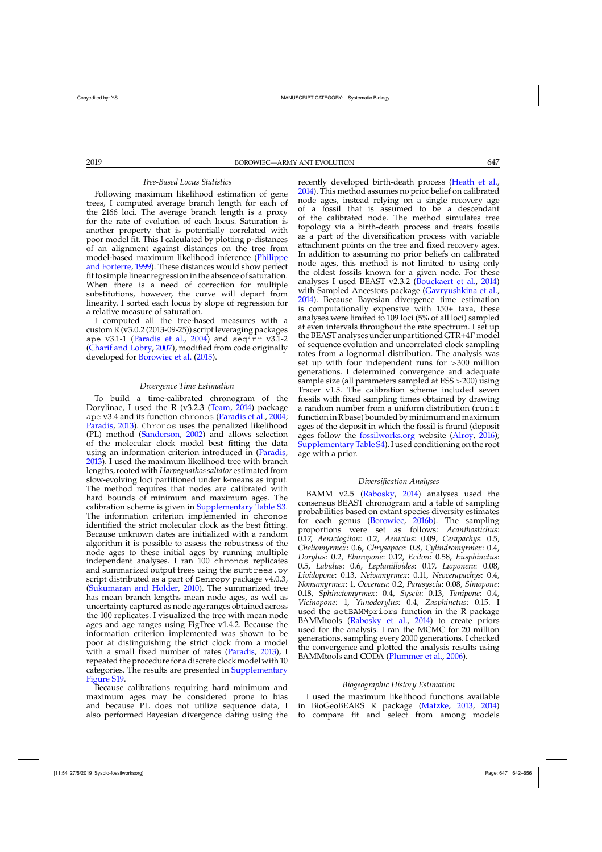### *Tree-Based Locus Statistics*

Following maximum likelihood estimation of gene trees, I computed average branch length for each of the 2166 loci. The average branch length is a proxy for the rate of evolution of each locus. Saturation is another property that is potentially correlated with poor model fit. This I calculated by plotting p-distances of an alignment against distances on the tree from model-based [maximum](#page-13-0) likelihood inference (Philippe and Forterre, [1999](#page-13-0)). These distances would show perfect fit to simple linear regression in the absence of saturation. When there is a need of correction for multiple substitutions, however, the curve will depart from linearity. I sorted each locus by slope of regression for a relative measure of saturation.

I computed all the tree-based measures with a custom R(v3.0.2 (2013-09-25)) script leveraging packages ape v3.1-1 [\(Paradis](#page-13-0) et al., [2004](#page-13-0)) and seqinr v3.1-2 [\(Charif](#page-12-0) and Lobry, [2007\)](#page-12-0), modified from code originally developed for [Borowiec](#page-12-0) et al. [\(2015](#page-12-0)).

#### *Divergence Time Estimation*

To build a time-calibrated chronogram of the Dorylinae, I used the R (v3.2.3 [\(Team,](#page-14-0) [2014\)](#page-14-0) package ape v3.4 and its function chronos [\(Paradis](#page-13-0) et al., [2004](#page-13-0); [Paradis](#page-13-0), [2013](#page-13-0)). Chronos uses the penalized likelihood (PL) method [\(Sanderson,](#page-13-0) [2002\)](#page-13-0) and allows selection of the molecular clock model best fitting the data using an information criterion introduced in [\(Paradis](#page-13-0), [2013\)](#page-13-0). I used the maximum likelihood tree with branch lengths, rooted with *Harpegnathos saltator* estimated from slow-evolving loci partitioned under k-means as input. The method requires that nodes are calibrated with hard bounds of minimum and maximum ages. The calibration scheme is given in [Supplementary](https://academic.oup.com/sysbio/article-lookup/doi/10.1093/sysbio/syy088#supplementary-data) [Table](https://academic.oup.com/sysbio/article-lookup/doi/10.1093/sysbio/syy088#supplementary-data) S3. The information criterion implemented in chronos identified the strict molecular clock as the best fitting. Because unknown dates are initialized with a random algorithm it is possible to assess the robustness of the node ages to these initial ages by running multiple independent analyses. I ran 100 chronos replicates and summarized output trees using the sumtrees.py script distributed as a part of Denropy package v4.0.3, [\(Sukumaran](#page-14-0) and Holder, [2010](#page-14-0)). The summarized tree has mean branch lengths mean node ages, as well as uncertainty captured as node age ranges obtained across the 100 replicates. I visualized the tree with mean node ages and age ranges using FigTree v1.4.2. Because the information criterion implemented was shown to be poor at distinguishing the strict clock from a model with a small fixed number of rates [\(Paradis,](#page-13-0) [2013\)](#page-13-0), I repeated the procedure for a discrete clock model with 10 categories. The results are presented in [Supplementary](https://academic.oup.com/sysbio/article-lookup/doi/10.1093/sysbio/syy088#supplementary-data) [Figure](https://academic.oup.com/sysbio/article-lookup/doi/10.1093/sysbio/syy088#supplementary-data) S19.

Because calibrations requiring hard minimum and maximum ages may be considered prone to bias and because PL does not utilize sequence data, I also performed Bayesian divergence dating using the recently developed birth-death process [\(Heath](#page-12-0) et al., [2014\)](#page-12-0). This method assumes no prior belief on calibrated node ages, instead relying on a single recovery age of a fossil that is assumed to be a descendant of the calibrated node. The method simulates tree topology via a birth-death process and treats fossils as a part of the diversification process with variable attachment points on the tree and fixed recovery ages. In addition to assuming no prior beliefs on calibrated node ages, this method is not limited to using only the oldest fossils known for a given node. For these analyses I used BEAST v2.3.2 [\(Bouckaert](#page-12-0) et al., [2014\)](#page-12-0) with Sampled Ancestors package [\(Gavryushkina](#page-12-0) et al., [2014\)](#page-12-0). Because Bayesian divergence time estimation is computationally expensive with 150+ taxa, these analyses were limited to 109 loci (5% of all loci) sampled at even intervals throughout the rate spectrum. I set up the BEAST analyses under unpartitioned  $GTR+4\Gamma$  model of sequence evolution and uncorrelated clock sampling rates from a lognormal distribution. The analysis was set up with four independent runs for >300 million generations. I determined convergence and adequate sample size (all parameters sampled at ESS >200) using Tracer v1.5. The calibration scheme included seven fossils with fixed sampling times obtained by drawing a random number from a uniform distribution (runif function in  $R$  base) bounded by minimum and maximum ages of the deposit in which the fossil is found (deposit ages follow the <fossilworks.org> website [\(Alroy](#page-11-0), [2016](#page-11-0)); [Supplementary](https://academic.oup.com/sysbio/article-lookup/doi/10.1093/sysbio/syy088#supplementary-data) [Table](https://academic.oup.com/sysbio/article-lookup/doi/10.1093/sysbio/syy088#supplementary-data) S4). I used conditioning on the root age with a prior.

## *Diversification Analyses*

BAMM v2.5 [\(Rabosky,](#page-13-0) [2014\)](#page-13-0) analyses used the consensus BEAST chronogram and a table of sampling probabilities based on extant species diversity estimates for each genus [\(Borowiec](#page-12-0), [2016b\)](#page-12-0). The sampling proportions were set as follows: *Acanthostichus*: 0.17, *Aenictogiton*: 0.2, *Aenictus*: 0.09, *Cerapachys*: 0.5, *Cheliomyrmex*: 0.6, *Chrysapace*: 0.8, *Cylindromyrmex*: 0.4, *Dorylus*: 0.2, *Eburopone*: 0.12, *Eciton*: 0.58, *Eusphinctus*: 0.5, *Labidus*: 0.6, *Leptanilloides*: 0.17, *Lioponera*: 0.08, *Lividopone*: 0.13, *Neivamyrmex*: 0.11, *Neocerapachys*: 0.4, *Nomamyrmex*: 1, *Ooceraea*: 0.2, *Parasyscia*: 0.08, *Simopone*: 0.18, *Sphinctomyrmex*: 0.4, *Syscia*: 0.13, *Tanipone*: 0.4, *Vicinopone*: 1, *Yunodorylus*: 0.4, *Zasphinctus*: 0.15. I used the setBAMMpriors function in the R package BAMMtools [\(Rabosky](#page-13-0) et al., [2014](#page-13-0)) to create priors used for the analysis. I ran the MCMC for 20 million generations, sampling every 2000 generations. I checked the convergence and plotted the analysis results using BAMMtools and CODA [\(Plummer](#page-13-0) et al., [2006\)](#page-13-0).

### *Biogeographic History Estimation*

I used the maximum likelihood functions available in BioGeoBEARS R package [\(Matzke](#page-13-0), [2013,](#page-13-0) [2014\)](#page-13-0) to compare fit and select from among models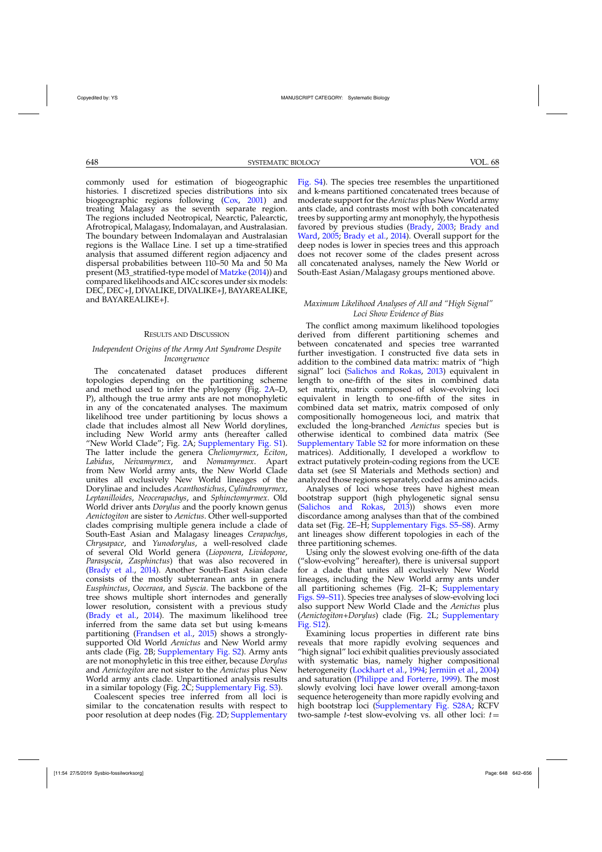commonly used for estimation of biogeographic histories. I discretized species distributions into six biogeographic regions following [\(Cox,](#page-12-0) [2001](#page-12-0)) and treating Malagasy as the seventh separate region. The regions included Neotropical, Nearctic, Palearctic, Afrotropical, Malagasy, Indomalayan, and Australasian. The boundary between Indomalayan and Australasian regions is the Wallace Line. I set up a time-stratified analysis that assumed different region adjacency and dispersal probabilities between 110–50 Ma and 50 Ma present (M3\_stratified-type model of [Matzke](#page-13-0) [\(2014\)](#page-13-0)) and compared likelihoods and AICc scores under six models: DEC, DEC+J, DIVALIKE, DIVALIKE+J, BAYAREALIKE, and BAYAREALIKE+J.

### RESULTS AND DISCUSSION

## *Independent Origins of the Army Ant Syndrome Despite Incongruence*

The concatenated dataset produces different topologies depending on the partitioning scheme and method used to infer the phylogeny (Fig. [2A](#page-7-0)–D, P), although the true army ants are not monophyletic in any of the concatenated analyses. The maximum likelihood tree under partitioning by locus shows a clade that includes almost all New World dorylines, including New World army ants (hereafter called "New World Clade"; Fig. [2A](#page-7-0); [Supplementary](https://academic.oup.com/sysbio/article-lookup/doi/10.1093/sysbio/syy088#supplementary-data) [Fig.](https://academic.oup.com/sysbio/article-lookup/doi/10.1093/sysbio/syy088#supplementary-data) S1). The latter include the genera *Cheliomyrmex*, *Eciton*, *Labidus*, *Neivamyrmex*, and *Nomamyrmex*. Apart from New World army ants, the New World Clade unites all exclusively New World lineages of the Dorylinae and includes *Acanthostichus*, *Cylindromyrmex*, *Leptanilloides*, *Neocerapachys*, and *Sphinctomyrmex*. Old World driver ants *Dorylus* and the poorly known genus *Aenictogiton* are sister to *Aenictus*. Other well-supported clades comprising multiple genera include a clade of South-East Asian and Malagasy lineages *Cerapachys*, *Chrysapace*, and *Yunodorylus*, a well-resolved clade of several Old World genera (*Lioponera*, *Lividopone*, *Parasyscia*, *Zasphinctus*) that was also recovered in [\(Brady](#page-12-0) et al., [2014](#page-12-0)). Another South-East Asian clade consists of the mostly subterranean ants in genera *Eusphinctus*, *Ooceraea*, and *Syscia*. The backbone of the tree shows multiple short internodes and generally lower resolution, consistent with a previous study [\(Brady](#page-12-0) et al., [2014](#page-12-0)). The maximum likelihood tree inferred from the same data set but using k-means partitioning [\(Frandsen](#page-12-0) et al., [2015\)](#page-12-0) shows a stronglysupported Old World *Aenictus* and New World army ants clade (Fig. [2B](#page-7-0); [Supplementary](https://academic.oup.com/sysbio/article-lookup/doi/10.1093/sysbio/syy088#supplementary-data) [Fig.](https://academic.oup.com/sysbio/article-lookup/doi/10.1093/sysbio/syy088#supplementary-data) S2). Army ants are not monophyletic in this tree either, because *Dorylus* and *Aenictogiton* are not sister to the *Aenictus* plus New World army ants clade. Unpartitioned analysis results in a similar topology (Fig. [2C](#page-7-0); [Supplementary](https://academic.oup.com/sysbio/article-lookup/doi/10.1093/sysbio/syy088#supplementary-data) [Fig.](https://academic.oup.com/sysbio/article-lookup/doi/10.1093/sysbio/syy088#supplementary-data) S3).

Coalescent species tree inferred from all loci is similar to the concatenation results with respect to poor resolution at deep nodes (Fig. [2D](#page-7-0); [Supplementary](https://academic.oup.com/sysbio/article-lookup/doi/10.1093/sysbio/syy088#supplementary-data)

[Fig.](https://academic.oup.com/sysbio/article-lookup/doi/10.1093/sysbio/syy088#supplementary-data) S4). The species tree resembles the unpartitioned and k-means partitioned concatenated trees because of moderate support forthe *Aenictus* plus New World army ants clade, and contrasts most with both concatenated trees by supporting army ant monophyly, the hypothesis favored by [previous](#page-12-0) studies [\(Brady,](#page-12-0) [2003;](#page-12-0) Brady and Ward, [2005](#page-12-0); [Brady](#page-12-0) et al., [2014\)](#page-12-0). Overall support for the deep nodes is lower in species trees and this approach does not recover some of the clades present across all concatenated analyses, namely the New World or South-East Asian/Malagasy groups mentioned above.

## *Maximum Likelihood Analyses of All and "High Signal" Loci Show Evidence of Bias*

The conflict among maximum likelihood topologies derived from different partitioning schemes and between concatenated and species tree warranted further investigation. I constructed five data sets in addition to the combined data matrix: matrix of "high signal" loci [\(Salichos](#page-13-0) and Rokas, [2013\)](#page-13-0) equivalent in length to one-fifth of the sites in combined data set matrix, matrix composed of slow-evolving loci equivalent in length to one-fifth of the sites in combined data set matrix, matrix composed of only compositionally homogeneous loci, and matrix that excluded the long-branched *Aenictus* species but is otherwise identical to combined data matrix (See [Supplementary](https://academic.oup.com/sysbio/article-lookup/doi/10.1093/sysbio/syy088#supplementary-data) [Table](https://academic.oup.com/sysbio/article-lookup/doi/10.1093/sysbio/syy088#supplementary-data) S2 for more information on these matrices). Additionally, I developed a workflow to extract putatively protein-coding regions from the UCE data set (see SI Materials and Methods section) and analyzed those regions separately, coded as amino acids.

Analyses of loci whose trees have highest mean bootstrap support (high phylogenetic signal sensu [\(Salichos](#page-13-0) and Rokas, [2013](#page-13-0))) shows even more discordance among analyses than that of the combined data set (Fig. [2E](#page-7-0)-H; [Supplementary](https://academic.oup.com/sysbio/article-lookup/doi/10.1093/sysbio/syy088#supplementary-data) Figs. S5-S8). Army ant lineages show different topologies in each of the three partitioning schemes.

Using only the slowest evolving one-fifth of the data ("slow-evolving" hereafter), there is universal support for a clade that unites all exclusively New World lineages, including the New World army ants under all partitioning schemes (Fig. [2I](#page-7-0)–K; [Supplementary](https://academic.oup.com/sysbio/article-lookup/doi/10.1093/sysbio/syy088#supplementary-data) Figs. [S9–S11\)](https://academic.oup.com/sysbio/article-lookup/doi/10.1093/sysbio/syy088#supplementary-data). Species tree analyses of slow-evolving loci also support New World Clade and the *Aenictus* plus (*Aenictogiton*+*Dorylus*) clade (Fig. [2L](#page-7-0); [Supplementary](https://academic.oup.com/sysbio/article-lookup/doi/10.1093/sysbio/syy088#supplementary-data) [Fig.](https://academic.oup.com/sysbio/article-lookup/doi/10.1093/sysbio/syy088#supplementary-data) S12).

Examining locus properties in different rate bins reveals that more rapidly evolving sequences and "high signal" loci exhibit qualities previously associated with systematic bias, namely higher compositional heterogeneity [\(Lockhart](#page-13-0) et al., [1994;](#page-13-0) [Jermiin](#page-12-0) et al., [2004](#page-12-0)) and saturation [\(Philippe](#page-13-0) and Forterre, [1999\)](#page-13-0). The most slowly evolving loci have lower overall among-taxon sequence heterogeneity than more rapidly evolving and high bootstrap loci [\(Supplementary](https://academic.oup.com/sysbio/article-lookup/doi/10.1093/sysbio/syy088#supplementary-data) Fig. [S28A;](https://academic.oup.com/sysbio/article-lookup/doi/10.1093/sysbio/syy088#supplementary-data) RCFV two-sample *t*-test slow-evolving vs. all other loci: *t*=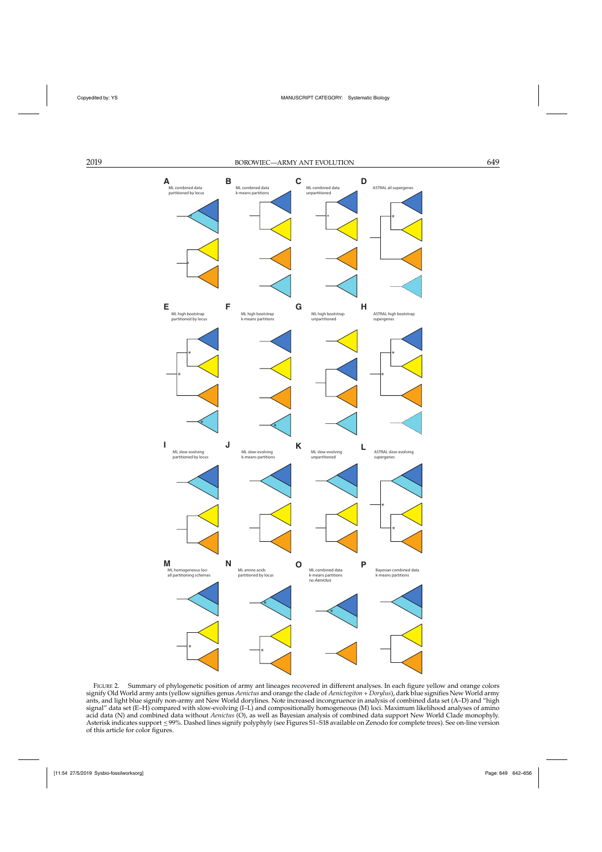<span id="page-7-0"></span>

FIGURE 2. Summary of phylogenetic position of army ant lineages recovered in different analyses. In each figure yellow and orange colors signify Old World army ants (yellow signifies genus *Aenictus* and orange the clade of *Aenictogiton* + *Dorylus*), dark blue signifies New World army ants, and light blue signify non-army ant New World dorylines. Note increased incongruence in analysis of combined data set (A–D) and "high signal" data set (E–H) compared with slow-evolving (I–L) and compositionally homogeneous (M) loci. Maximum likelihood analyses of amino acid data (N) and combined data without *Aenictus* (O), as well as Bayesian analysis of combined data support New World Clade monophyly. Asterisk indicates support ≤99%. Dashed lines signify polyphyly (see Figures S1–S18 available on Zenodo for complete trees). See on-line version of this article for color figures.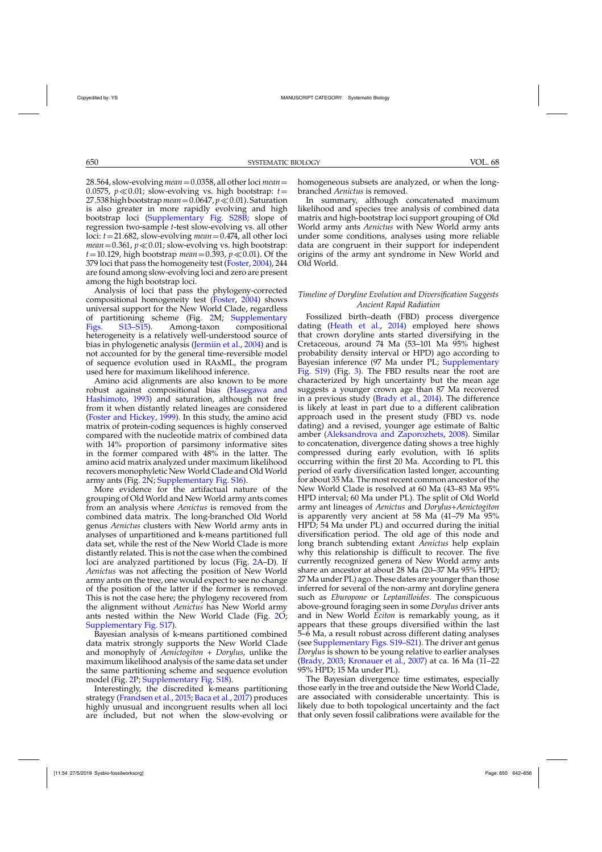28.564, slow-evolving  $mean = 0.0358$ , all other loci  $mean =$ 0.0575,  $p \ll 0.01$ ; slow-evolving vs. high bootstrap:  $t=$ 27.538 high bootstrap *mean* =  $0.0647$ ,  $p \ll 0.01$ ). Saturation is also greater in more rapidly evolving and high bootstrap loci [\(Supplementary](https://academic.oup.com/sysbio/article-lookup/doi/10.1093/sysbio/syy088#supplementary-data) Fig. [S28B;](https://academic.oup.com/sysbio/article-lookup/doi/10.1093/sysbio/syy088#supplementary-data) slope of regression two-sample *t*-test slow-evolving vs. all other loci: *t*=21.682, slow-evolving *mean*=0.474, all other loci  $mean = 0.361$ ,  $p \ll 0.01$ ; slow-evolving vs. high bootstrap:  $t = 10.129$ , high bootstrap *mean* = 0.393,  $p \ll 0.01$ ). Of the 379 loci that pass the homogeneity test [\(Foster,](#page-12-0) [2004\)](#page-12-0), 244 are found among slow-evolving loci and zero are present among the high bootstrap loci.

Analysis of loci that pass the phylogeny-corrected compositional homogeneity test [\(Foster,](#page-12-0) [2004](#page-12-0)) shows universal support for the New World Clade, regardless of partitioning scheme (Fig. [2M](#page-7-0); [Supplementary](https://academic.oup.com/sysbio/article-lookup/doi/10.1093/sysbio/syy088#supplementary-data)<br>Figs. S13–S15). Among-taxon compositional Among-taxon heterogeneity is a relatively well-understood source of bias in phylogenetic analysis [\(Jermiin](#page-12-0) et al., [2004](#page-12-0)) and is not accounted for by the general time-reversible model of sequence evolution used in RAxML, the program used here for maximum likelihood inference.

Amino acid alignments are also known to be more robust against [compositional](#page-12-0) bias (Hasegawa and Hashimoto, [1993](#page-12-0)) and saturation, although not free from it when distantly related lineages are considered (Foster and [Hickey](#page-12-0), [1999](#page-12-0)). In this study, the amino acid matrix of protein-coding sequences is highly conserved compared with the nucleotide matrix of combined data with 14% proportion of parsimony informative sites in the former compared with 48% in the latter. The amino acid matrix analyzed under maximum likelihood recovers monophyletic New World Clade and Old World army ants (Fig. [2N](#page-7-0); [Supplementary](https://academic.oup.com/sysbio/article-lookup/doi/10.1093/sysbio/syy088#supplementary-data) [Fig.](https://academic.oup.com/sysbio/article-lookup/doi/10.1093/sysbio/syy088#supplementary-data) S16).

More evidence for the artifactual nature of the grouping of Old World and New World army ants comes from an analysis where *Aenictus* is removed from the combined data matrix. The long-branched Old World genus *Aenictus* clusters with New World army ants in analyses of unpartitioned and k-means partitioned full data set, while the rest of the New World Clade is more distantly related. This is not the case when the combined loci are analyzed partitioned by locus (Fig. [2A](#page-7-0)–D). If *Aenictus* was not affecting the position of New World army ants on the tree, one would expect to see no change of the position of the latter if the former is removed. This is not the case here; the phylogeny recovered from the alignment without *Aenictus* has New World army ants nested within the New World Clade (Fig. [2O](#page-7-0); [Supplementary](https://academic.oup.com/sysbio/article-lookup/doi/10.1093/sysbio/syy088#supplementary-data) [Fig.](https://academic.oup.com/sysbio/article-lookup/doi/10.1093/sysbio/syy088#supplementary-data) S17).

Bayesian analysis of k-means partitioned combined data matrix strongly supports the New World Clade and monophyly of *Aenictogiton* + *Dorylus*, unlike the maximum likelihood analysis of the same data set under the same partitioning scheme and sequence evolution model (Fig. [2P](#page-7-0); [Supplementary](https://academic.oup.com/sysbio/article-lookup/doi/10.1093/sysbio/syy088#supplementary-data) [Fig.](https://academic.oup.com/sysbio/article-lookup/doi/10.1093/sysbio/syy088#supplementary-data) S18).

Interestingly, the discredited k-means partitioning strategy [\(Frandsen](#page-12-0) et al., [2015](#page-12-0); [Baca](#page-11-0) et al., [2017](#page-11-0)) produces highly unusual and incongruent results when all loci are included, but not when the slow-evolving or homogeneous subsets are analyzed, or when the longbranched *Aenictus* is removed.

In summary, although concatenated maximum likelihood and species tree analysis of combined data matrix and high-bootstrap loci support grouping of Old World army ants *Aenictus* with New World army ants under some conditions, analyses using more reliable data are congruent in their support for independent origins of the army ant syndrome in New World and Old World.

## *Timeline of Doryline Evolution and Diversification Suggests Ancient Rapid Radiation*

Fossilized birth–death (FBD) process divergence dating [\(Heath](#page-12-0) et al., [2014\)](#page-12-0) employed here shows that crown doryline ants started diversifying in the Cretaceous, around 74 Ma (53–101 Ma 95% highest probability density interval or HPD) ago according to Bayesian inference (97 Ma under PL; [Supplementary](https://academic.oup.com/sysbio/article-lookup/doi/10.1093/sysbio/syy088#supplementary-data) [Fig.](https://academic.oup.com/sysbio/article-lookup/doi/10.1093/sysbio/syy088#supplementary-data) S19) (Fig. [3\)](#page-9-0). The FBD results near the root are characterized by high uncertainty but the mean age suggests a younger crown age than 87 Ma recovered in a previous study [\(Brady](#page-12-0) et al., [2014](#page-12-0)). The difference is likely at least in part due to a different calibration approach used in the present study (FBD vs. node dating) and a revised, younger age estimate of Baltic amber [\(Aleksandrova](#page-11-0) and Zaporozhets, [2008](#page-11-0)). Similar to concatenation, divergence dating shows a tree highly compressed during early evolution, with 16 splits occurring within the first 20 Ma. According to PL this period of early diversification lasted longer, accounting for about 35 Ma. The most recent common ancestor of the New World Clade is resolved at 60 Ma (43–83 Ma 95% HPD interval; 60 Ma under PL). The split of Old World army ant lineages of *Aenictus* and *Dorylus*+*Aenictogiton* is apparently very ancient at 58 Ma (41–79 Ma 95% HPD; 54 Ma under PL) and occurred during the initial diversification period. The old age of this node and long branch subtending extant *Aenictus* help explain why this relationship is difficult to recover. The five currently recognized genera of New World army ants share an ancestor at about 28 Ma (20–37 Ma 95% HPD; 27 Ma under PL) ago. These dates are younger than those inferred for several of the non-army ant doryline genera such as *Eburopone* or *Leptanilloides*. The conspicuous above-ground foraging seen in some *Dorylus* driver ants and in New World *Eciton* is remarkably young, as it appears that these groups diversified within the last 5–6 Ma, a result robust across different dating analyses (see [Supplementary](https://academic.oup.com/sysbio/article-lookup/doi/10.1093/sysbio/syy088#supplementary-data) Figs. [S19–S21\)](https://academic.oup.com/sysbio/article-lookup/doi/10.1093/sysbio/syy088#supplementary-data). The driver ant genus *Dorylus* is shown to be young relative to earlier analyses [\(Brady](#page-12-0), [2003](#page-12-0); [Kronauer](#page-12-0) et al., [2007\)](#page-12-0) at ca. 16 Ma (11–22 95% HPD; 15 Ma under PL).

The Bayesian divergence time estimates, especially those early in the tree and outside the New World Clade, are associated with considerable uncertainty. This is likely due to both topological uncertainty and the fact that only seven fossil calibrations were available for the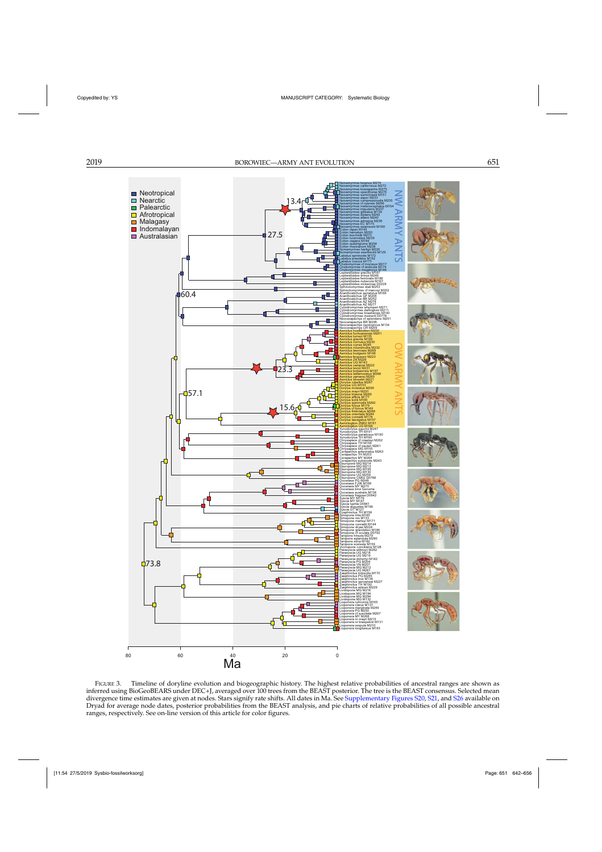<span id="page-9-0"></span>

FIGURE 3. Timeline of doryline evolution and biogeographic history. The highest relative probabilities of ancestral ranges are shown as inferred using BioGeoBEARS under DEC+J, averaged over 100 trees from the BEAST posterior. The tree is the BEAST consensus. Selected mean divergence time estimates are given at nodes. Stars signify rate shifts. All dates in Ma. See [Supplementary](https://academic.oup.com/sysbio/article-lookup/doi/10.1093/sysbio/syy088#supplementary-data) [Figures](https://academic.oup.com/sysbio/article-lookup/doi/10.1093/sysbio/syy088#supplementary-data) S20, [S21,](https://academic.oup.com/sysbio/article-lookup/doi/10.1093/sysbio/syy088#supplementary-data) and [S26](https://academic.oup.com/sysbio/article-lookup/doi/10.1093/sysbio/syy088#supplementary-data) available on Dryad for average node dates, posterior probabilities from the BEAST analysis, and pie charts of relative probabilities of all possible ancestral ranges, respectively. See on-line version of this article for color figures.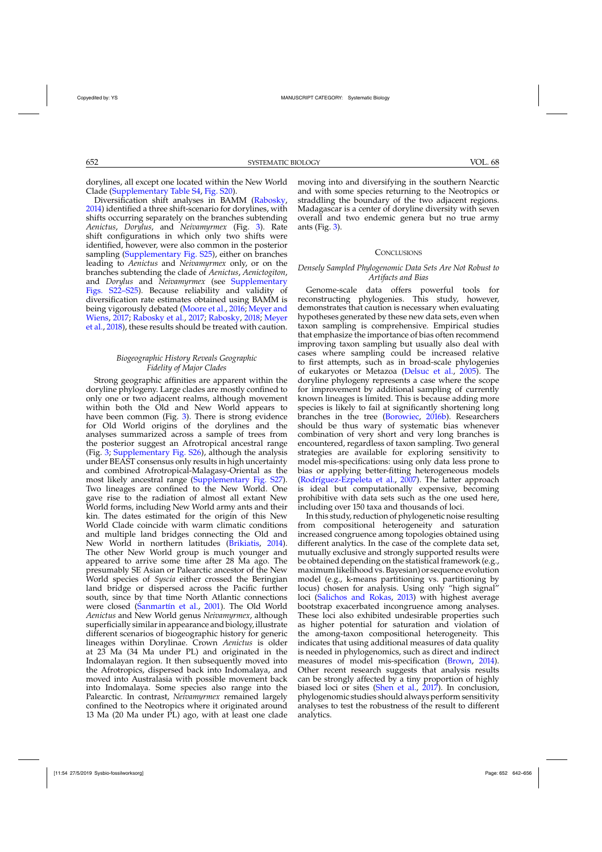dorylines, all except one located within the New World Clade [\(Supplementary](https://academic.oup.com/sysbio/article-lookup/doi/10.1093/sysbio/syy088#supplementary-data) [Table](https://academic.oup.com/sysbio/article-lookup/doi/10.1093/sysbio/syy088#supplementary-data) S4, Fig. [S20\)](https://academic.oup.com/sysbio/article-lookup/doi/10.1093/sysbio/syy088#supplementary-data).

Diversification shift analyses in BAMM [\(Rabosky,](#page-13-0) [2014](#page-13-0)) identified a three shift-scenario for dorylines, with shifts occurring separately on the branches subtending *Aenictus*, *Dorylus*, and *Neivamyrmex* (Fig. [3\)](#page-9-0). Rate shift configurations in which only two shifts were identified, however, were also common in the posterior sampling [\(Supplementary](https://academic.oup.com/sysbio/article-lookup/doi/10.1093/sysbio/syy088#supplementary-data) [Fig.](https://academic.oup.com/sysbio/article-lookup/doi/10.1093/sysbio/syy088#supplementary-data) S25), either on branches leading to *Aenictus* and *Neivamyrmex* only, or on the branches subtending the clade of *Aenictus*, *Aenictogiton*, and *Dorylus* and *Neivamyrmex* (see [Supplementary](https://academic.oup.com/sysbio/article-lookup/doi/10.1093/sysbio/syy088#supplementary-data) Figs. [S22–S25\)](https://academic.oup.com/sysbio/article-lookup/doi/10.1093/sysbio/syy088#supplementary-data). Because reliability and validity of diversification rate estimates obtained using BAMM is being [vigorously](#page-13-0) debated [\(Moore](#page-13-0) et al., [2016;](#page-13-0) Meyer and Wiens, [2017](#page-13-0); [Rabosky](#page-13-0) et al., [2017;](#page-13-0) [Rabosky,](#page-13-0) [2018](#page-13-0); Meyer et al., [2018](#page-13-0)), these results should be treated with caution.

## *Biogeographic History Reveals Geographic Fidelity of Major Clades*

Strong geographic affinities are apparent within the doryline phylogeny. Large clades are mostly confined to only one or two adjacent realms, although movement within both the Old and New World appears to have been common (Fig. [3\)](#page-9-0). There is strong evidence for Old World origins of the dorylines and the analyses summarized across a sample of trees from the posterior suggest an Afrotropical ancestral range (Fig. [3;](#page-9-0) [Supplementary](https://academic.oup.com/sysbio/article-lookup/doi/10.1093/sysbio/syy088#supplementary-data) Fig. [S26\)](https://academic.oup.com/sysbio/article-lookup/doi/10.1093/sysbio/syy088#supplementary-data), although the analysis under BEAST consensus only results in high uncertainty and combined Afrotropical-Malagasy-Oriental as the most likely ancestral range [\(Supplementary](https://academic.oup.com/sysbio/article-lookup/doi/10.1093/sysbio/syy088#supplementary-data) [Fig.](https://academic.oup.com/sysbio/article-lookup/doi/10.1093/sysbio/syy088#supplementary-data) S27). Two lineages are confined to the New World. One gave rise to the radiation of almost all extant New World forms, including New World army ants and their kin. The dates estimated for the origin of this New World Clade coincide with warm climatic conditions and multiple land bridges connecting the Old and New World in northern latitudes [\(Brikiatis](#page-12-0), [2014](#page-12-0)). The other New World group is much younger and appeared to arrive some time after 28 Ma ago. The presumably SE Asian or Palearctic ancestor of the New World species of *Syscia* either crossed the Beringian land bridge or dispersed across the Pacific further south, since by that time North Atlantic connections were closed [\(Sanmartín](#page-13-0) et al., [2001](#page-13-0)). The Old World *Aenictus* and New World genus *Neivamyrmex*, although superficially similar in appearance and biology, illustrate different scenarios of biogeographic history for generic lineages within Dorylinae. Crown *Aenictus* is older at 23 Ma (34 Ma under PL) and originated in the Indomalayan region. It then subsequently moved into the Afrotropics, dispersed back into Indomalaya, and moved into Australasia with possible movement back into Indomalaya. Some species also range into the Palearctic. In contrast, *Neivamyrmex* remained largely confined to the Neotropics where it originated around 13 Ma (20 Ma under PL) ago, with at least one clade

moving into and diversifying in the southern Nearctic and with some species returning to the Neotropics or straddling the boundary of the two adjacent regions. Madagascar is a center of doryline diversity with seven overall and two endemic genera but no true army ants (Fig. [3\)](#page-9-0).

## **CONCLUSIONS**

## *Densely Sampled Phylogenomic Data Sets Are Not Robust to Artifacts and Bias*

Genome-scale data offers powerful tools for reconstructing phylogenies. This study, however, demonstrates that caution is necessary when evaluating hypotheses generated by these new data sets, even when taxon sampling is comprehensive. Empirical studies that emphasize the importance of bias often recommend improving taxon sampling but usually also deal with cases where sampling could be increased relative to first attempts, such as in broad-scale phylogenies of eukaryotes or Metazoa [\(Delsuc](#page-12-0) et al., [2005\)](#page-12-0). The doryline phylogeny represents a case where the scope for improvement by additional sampling of currently known lineages is limited. This is because adding more species is likely to fail at significantly shortening long branches in the tree [\(Borowiec,](#page-12-0) [2016b](#page-12-0)). Researchers should be thus wary of systematic bias whenever combination of very short and very long branches is encountered, regardless of taxon sampling. Two general strategies are available for exploring sensitivity to model mis-specifications: using only data less prone to bias or applying better-fitting heterogeneous models [\(Rodríguez-Ezpeleta](#page-13-0) et al., [2007\)](#page-13-0). The latter approach is ideal but computationally expensive, becoming prohibitive with data sets such as the one used here, including over 150 taxa and thousands of loci.

In this study, reduction of phylogenetic noise resulting from compositional heterogeneity and saturation increased congruence among topologies obtained using different analytics. In the case of the complete data set, mutually exclusive and strongly supported results were be obtained depending on the statistical framework (e.g., maximumlikelihoodvs.Bayesian) or sequence evolution model (e.g., k-means partitioning vs. partitioning by locus) chosen for analysis. Using only "high signal" loci [\(Salichos](#page-13-0) and Rokas, [2013](#page-13-0)) with highest average bootstrap exacerbated incongruence among analyses. These loci also exhibited undesirable properties such as higher potential for saturation and violation of the among-taxon compositional heterogeneity. This indicates that using additional measures of data quality is needed in phylogenomics, such as direct and indirect measures of model mis-specification [\(Brown](#page-12-0), [2014\)](#page-12-0). Other recent research suggests that analysis results can be strongly affected by a tiny proportion of highly biased loci or sites [\(Shen](#page-13-0) et al., [2017\)](#page-13-0). In conclusion, phylogenomic studies should always perform sensitivity analyses to test the robustness of the result to different analytics.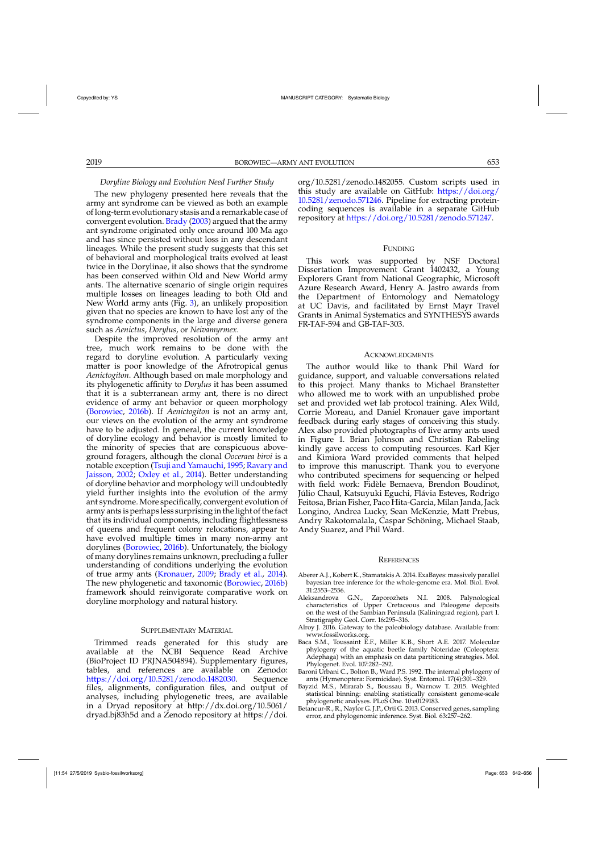#### <span id="page-11-0"></span>*Doryline Biology and Evolution Need Further Study*

The new phylogeny presented here reveals that the army ant syndrome can be viewed as both an example oflong-term evolutionary stasis and a remarkable case of convergent evolution. [Brady](#page-12-0) [\(2003](#page-12-0)) argued that the army ant syndrome originated only once around 100 Ma ago and has since persisted without loss in any descendant lineages. While the present study suggests that this set of behavioral and morphological traits evolved at least twice in the Dorylinae, it also shows that the syndrome has been conserved within Old and New World army ants. The alternative scenario of single origin requires multiple losses on lineages leading to both Old and New World army ants (Fig. [3\)](#page-9-0), an unlikely proposition given that no species are known to have lost any of the syndrome components in the large and diverse genera such as *Aenictus*, *Dorylus*, or *Neivamyrmex*.

Despite the improved resolution of the army ant tree, much work remains to be done with the regard to doryline evolution. A particularly vexing matter is poor knowledge of the Afrotropical genus *Aenictogiton*. Although based on male morphology and its phylogenetic affinity to *Dorylus* it has been assumed that it is a subterranean army ant, there is no direct evidence of army ant behavior or queen morphology [\(Borowiec](#page-12-0), [2016b](#page-12-0)). If *Aenictogiton* is not an army ant, our views on the evolution of the army ant syndrome have to be adjusted. In general, the current knowledge of doryline ecology and behavior is mostly limited to the minority of species that are conspicuous aboveground foragers, although the clonal *Ooceraea biroi* is a notable exception (Tsuji and [Yamauchi](#page-14-0)[,](#page-13-0) [1995;](#page-14-0) Ravary and Jaisson, [2002;](#page-13-0) [Oxley](#page-13-0) et al., [2014](#page-13-0)). Better understanding of doryline behavior and morphology will undoubtedly yield further insights into the evolution of the army ant syndrome. More specifically, convergent evolution of army ants is perhaps less surprising in the light of the fact that its individual components, including flightlessness of queens and frequent colony relocations, appear to have evolved multiple times in many non-army ant dorylines [\(Borowiec](#page-12-0), [2016b](#page-12-0)). Unfortunately, the biology of many dorylines remains unknown, precluding a fuller understanding of conditions underlying the evolution of true army ants [\(Kronauer](#page-13-0), [2009](#page-13-0); [Brady](#page-12-0) et al., [2014\)](#page-12-0). The new phylogenetic and taxonomic [\(Borowiec,](#page-12-0) [2016b](#page-12-0)) framework should reinvigorate comparative work on doryline morphology and natural history.

## SUPPLEMENTARY MATERIAL

Trimmed reads generated for this study are available at the NCBI Sequence Read Archive (BioProject ID PRJNA504894). Supplementary figures, tables, and references are available on Zenodo: [https://doi.org/10.5281/zenodo.1482030.](https://doi.org/10.5281/zenodo.1482030) Sequence files, alignments, configuration files, and output of analyses, including phylogenetic trees, are available in a Dryad repository at http://dx.doi.org/10.5061/ dryad.bj83h5d and a Zenodo repository at https://doi.

org/10.5281/zenodo.1482055. Custom scripts used in this study are available on GitHub: [https://doi.org/](https://doi.org/10.5281/zenodo.571246) [10.5281/zenodo.571246.](https://doi.org/10.5281/zenodo.571246) Pipeline for extracting proteincoding sequences is available in a separate GitHub repository at [https://doi.org/10.5281/zenodo.571247.](https://doi.org/10.5281/zenodo.571247)

#### FUNDING

This work was supported by NSF Doctoral Dissertation Improvement Grant 1402432, a Young Explorers Grant from National Geographic, Microsoft Azure Research Award, Henry A. Jastro awards from the Department of Entomology and Nematology at UC Davis, and facilitated by Ernst Mayr Travel Grants in Animal Systematics and SYNTHESYS awards FR-TAF-594 and GB-TAF-303.

#### ACKNOWLEDGMENTS

The author would like to thank Phil Ward for guidance, support, and valuable conversations related to this project. Many thanks to Michael Branstetter who allowed me to work with an unpublished probe set and provided wet lab protocol training. Alex Wild, Corrie Moreau, and Daniel Kronauer gave important feedback during early stages of conceiving this study. Alex also provided photographs of live army ants used in Figure 1. Brian Johnson and Christian Rabeling kindly gave access to computing resources. Karl Kjer and Kimiora Ward provided comments that helped to improve this manuscript. Thank you to everyone who contributed specimens for sequencing or helped with field work: Fidèle Bemaeva, Brendon Boudinot, Júlio Chaul, Katsuyuki Eguchi, Flávia Esteves, Rodrigo Feitosa, Brian Fisher, Paco Hita-Garcia, Milan Janda, Jack Longino, Andrea Lucky, Sean McKenzie, Matt Prebus, Andry Rakotomalala, Caspar Schöning, Michael Staab, Andy Suarez, and Phil Ward.

#### **REFERENCES**

- Aberer A.J., Kobert K., Stamatakis A. 2014. ExaBayes: massively parallel bayesian tree inference for the whole-genome era. Mol. Biol. Evol. 31:2553–2556.
- Aleksandrova G.N., Zaporozhets N.I. 2008. Palynological characteristics of Upper Cretaceous and Paleogene deposits on the west of the Sambian Peninsula (Kaliningrad region), part 1. Stratigraphy Geol. Corr. 16:295–316.
- Alroy J. 2016. Gateway to the paleobiology database. Available from: www.fossilworks.org.
- Baca S.M., Toussaint E.F., Miller K.B., Short A.E. 2017. Molecular phylogeny of the aquatic beetle family Noteridae (Coleoptera: Adephaga) with an emphasis on data partitioning strategies. Mol. Phylogenet. Evol. 107:282–292.
- Baroni Urbani C., Bolton B., Ward P.S. 1992. The internal phylogeny of ants (Hymenoptera: Formicidae). Syst. Entomol. 17(4):301–329.
- Bayzid M.S., Mirarab S., Boussau B., Warnow T. 2015. Weighted statistical binning: enabling statistically consistent genome-scale phylogenetic analyses. PLoS One. 10:e0129183.
- Betancur-R., R., Naylor G. J.P., Orti G. 2013. Conserved genes, sampling error, and phylogenomic inference. Syst. Biol. 63:257–262.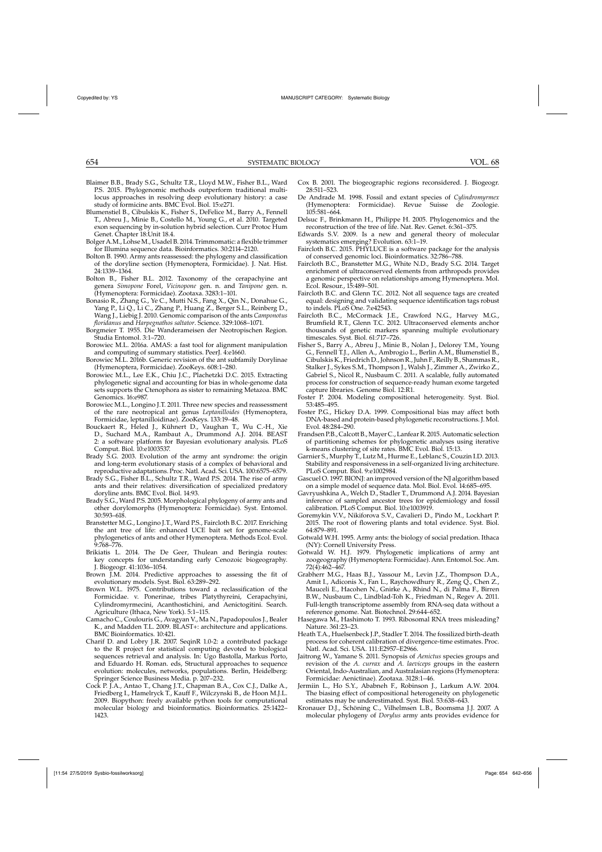- <span id="page-12-0"></span>Blaimer B.B., Brady S.G., Schultz T.R., Lloyd M.W., Fisher B.L., Ward P.S. 2015. Phylogenomic methods outperform traditional multilocus approaches in resolving deep evolutionary history: a case study of formicine ants. BMC Evol. Biol. 15:e271.
- Blumenstiel B., Cibulskis K., Fisher S., DeFelice M., Barry A., Fennell T., Abreu J., Minie B., Costello M., Young G., et al. 2010. Targeted exon sequencing by in-solution hybrid selection. Curr Protoc Hum Genet. Chapter 18:Unit 18.4.
- Bolger A.M., Lohse M., Usadel B. 2014. Trimmomatic: a flexible trimmer for Illumina sequence data. Bioinformatics. 30:2114–2120.
- Bolton B. 1990. Army ants reassessed: the phylogeny and classification of the doryline section (Hymenoptera, Formicidae). J. Nat. Hist. 24:1339–1364.
- Bolton B., Fisher B.L. 2012. Taxonomy of the cerapachyine ant genera *Simopone* Forel, *Vicinopone* gen. n. and *Tanipone* gen. n. (Hymenoptera: Formicidae). Zootaxa. 3283:1–101.
- Bonasio R., Zhang G., Ye C., Mutti N.S., Fang X., Qin N., Donahue G., Yang P., Li Q., Li C., Zhang P., Huang Z., Berger S.L., Reinberg D., Wang J., Liebig J. 2010. Genomic comparison of the ants *Camponotus floridanus* and *Harpegnathos saltator*. Science. 329:1068–1071.
- Borgmeier T. 1955. Die Wanderameisen der Neotropischen Region. Studia Entomol. 3:1–720.
- Borowiec M.L. 2016a. AMAS: a fast tool for alignment manipulation and computing of summary statistics. PeerJ. 4:e1660.
- Borowiec M.L. 2016b. Generic revision of the ant subfamily Dorylinae (Hymenoptera, Formicidae). ZooKeys. 608:1–280.
- Borowiec M.L., Lee E.K., Chiu J.C., Plachetzki D.C. 2015. Extracting phylogenetic signal and accounting for bias in whole-genome data sets supports the Ctenophora as sister to remaining Metazoa. BMC Genomics. 16:e987.
- Borowiec M.L., Longino J.T. 2011. Three new species and reassessment of the rare neotropical ant genus *Leptanilloides* (Hymenoptera, Formicidae, leptanilloidinae). ZooKeys. 133:19–48.
- Bouckaert R., Heled J., Kühnert D., Vaughan T., Wu C.-H., Xie D., Suchard M.A., Rambaut A., Drummond A.J. 2014. BEAST 2: a software platform for Bayesian evolutionary analysis. PLoS Comput. Biol. 10:e1003537.
- Brady S.G. 2003. Evolution of the army ant syndrome: the origin and long-term evolutionary stasis of a complex of behavioral and reproductive adaptations. Proc. Natl. Acad. Sci. USA. 100:6575–6579.
- Brady S.G., Fisher B.L., Schultz T.R., Ward P.S. 2014. The rise of army ants and their relatives: diversification of specialized predatory doryline ants. BMC Evol. Biol. 14:93.
- Brady S.G., Ward P.S. 2005. Morphological phylogeny of army ants and other dorylomorphs (Hymenoptera: Formicidae). Syst. Entomol. 30:593–618.
- Branstetter M.G., Longino J.T., Ward P.S., Faircloth B.C. 2017. Enriching the ant tree of life: enhanced UCE bait set for genome-scale phylogenetics of ants and other Hymenoptera. Methods Ecol. Evol. 9:768–776.
- Brikiatis L. 2014. The De Geer, Thulean and Beringia routes: key concepts for understanding early Cenozoic biogeography. J. Biogeogr. 41:1036–1054.
- Brown J.M. 2014. Predictive approaches to assessing the fit of evolutionary models. Syst. Biol. 63:289–292.
- Brown W.L. 1975. Contributions toward a reclassification of the Formicidae. v. Ponerinae, tribes Platythyreini, Cerapachyini, Cylindromyrmecini, Acanthostichini, and Aenictogitini. Search. Agriculture (Ithaca, New York). 5:1–115.
- Camacho C., Coulouris G., Avagyan V., Ma N., Papadopoulos J., Bealer K., and Madden T.L. 2009. BLAST+: architecture and applications. BMC Bioinformatics. 10:421.
- Charif D. and Lobry J.R. 2007. SeqinR 1.0-2: a contributed package to the R project for statistical computing devoted to biological sequences retrieval and analysis. In: Ugo Bastolla, Markus Porto, and Eduardo H. Roman. eds, Structural approaches to sequence evolution: molecules, networks, populations. Berlin, Heidelberg: Springer Science Business Media. p. 207–232.
- Cock P. J.A., Antao T., Chang J.T., Chapman B.A., Cox C.J., Dalke A., Friedberg I., Hamelryck T., Kauff F., Wilczynski B., de Hoon M.J.L. 2009. Biopython: freely available python tools for computational molecular biology and bioinformatics. Bioinformatics. 25:1422– 1423.
- Cox B. 2001. The biogeographic regions reconsidered. J. Biogeogr. 28:511–523.
- De Andrade M. 1998. Fossil and extant species of *Cylindromyrmex* (Hymenoptera: Formicidae). Revue Suisse de Zoologie. 105:581–664.
- Delsuc F., Brinkmann H., Philippe H. 2005. Phylogenomics and the reconstruction of the tree of life. Nat. Rev. Genet. 6:361–375.
- Edwards S.V. 2009. Is a new and general theory of molecular systematics emerging? Evolution. 63:1–19.
- Faircloth B.C. 2015. PHYLUCE is a software package for the analysis of conserved genomic loci. Bioinformatics. 32:786–788.
- Faircloth B.C., Branstetter M.G., White N.D., Brady S.G. 2014. Target enrichment of ultraconserved elements from arthropods provides a genomic perspective on relationships among Hymenoptera. Mol. Ecol. Resour., 15:489–501.
- Faircloth B.C. and Glenn T.C. 2012. Not all sequence tags are created equal: designing and validating sequence identification tags robust to indels. PLoS One. 7:e42543.
- Faircloth B.C., McCormack J.E., Crawford N.G., Harvey M.G., Brumfield R.T., Glenn T.C. 2012. Ultraconserved elements anchor thousands of genetic markers spanning multiple evolutionary timescales. Syst. Biol. 61:717–726.
- Fisher S., Barry A., Abreu J., Minie B., Nolan J., Delorey T.M., Young G., Fennell T.J., Allen A., Ambrogio L., Berlin A.M., Blumenstiel B., Cibulskis K., FriedrichD.,JohnsonR.,Juhn F.,Reilly B., ShammasR., Stalker J., Sykes S.M., Thompson J., Walsh J., Zimmer A., Zwirko Z., Gabriel S., Nicol R., Nusbaum C. 2011. A scalable, fully automated process for construction of sequence-ready human exome targeted capture libraries. Genome Biol. 12:R1.
- Foster P. 2004. Modeling compositional heterogeneity. Syst. Biol. 53:485–495.
- Foster P.G., Hickey D.A. 1999. Compositional bias may affect both DNA-based and protein-based phylogenetic reconstructions. J. Mol. Evol. 48:284–290.
- Frandsen P.B., Calcott B., Mayer C., Lanfear R. 2015. Automatic selection of partitioning schemes for phylogenetic analyses using iterative k-means clustering of site rates. BMC Evol. Biol. 15:13.
- Garnier S., Murphy T., Lutz M., Hurme E., Leblanc S., Couzin I.D. 2013. Stability and responsiveness in a self-organized living architecture. PLoS Comput. Biol. 9:e1002984.
- Gascuel O. 1997. BIONJ: an improved version of the NJ algorithm based on a simple model of sequence data. Mol. Biol. Evol. 14:685–695.
- Gavryushkina A., Welch D., Stadler T., Drummond A.J. 2014. Bayesian inference of sampled ancestor trees for epidemiology and fossil calibration. PLoS Comput. Biol. 10:e1003919.
- Goremykin V.V., Nikiforova S.V., Cavalieri D., Pindo M., Lockhart P. 2015. The root of flowering plants and total evidence. Syst. Biol. 64:879–891.
- Gotwald W.H. 1995. Army ants: the biology of social predation. Ithaca (NY): Cornell University Press.
- Gotwald W. H.J. 1979. Phylogenetic implications of army ant zoogeography (Hymenoptera: Formicidae).Ann.Entomol. Soc.Am. 72(4):462–467.
- Grabherr M.G., Haas B.J., Yassour M., Levin J.Z., Thompson D.A., Amit I., Adiconis X., Fan L., Raychowdhury R., Zeng Q., Chen Z., Mauceli E., Hacohen N., Gnirke A., Rhind N., di Palma F., Birren B.W., Nusbaum C., Lindblad-Toh K., Friedman N., Regev A. 2011. Full-length transcriptome assembly from RNA-seq data without a reference genome. Nat. Biotechnol. 29:644–652.
- Hasegawa M., Hashimoto T. 1993. Ribosomal RNA trees misleading? Nature. 361:23–23.
- Heath T.A., Huelsenbeck J.P., Stadler T. 2014. The fossilized birth-death process for coherent calibration of divergence-time estimates. Proc. Natl. Acad. Sci. USA. 111:E2957–E2966.
- Jaitrong W., Yamane S. 2011. Synopsis of *Aenictus* species groups and revision of the *A. currax* and *A. laeviceps* groups in the eastern Oriental, Indo-Australian, and Australasian regions (Hymenoptera: Formicidae: Aenictinae). Zootaxa. 3128:1–46.
- Jermiin L., Ho S.Y., Ababneh F., Robinson J., Larkum A.W. 2004. The biasing effect of compositional heterogeneity on phylogenetic estimates may be underestimated. Syst. Biol. 53:638–643.
- Kronauer D.J., Schöning C., Vilhelmsen L.B., Boomsma J.J. 2007. A molecular phylogeny of *Dorylus* army ants provides evidence for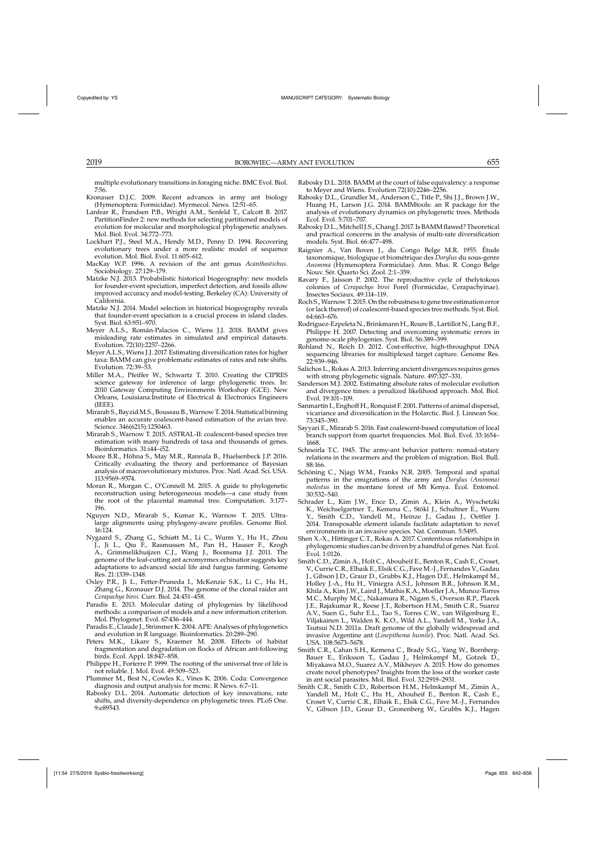<span id="page-13-0"></span>multiple evolutionary transitions in foraging niche. BMC Evol. Biol. 7:56.

- Kronauer D.J.C. 2009. Recent advances in army ant biology (Hymenoptera: Formicidae). Myrmecol. News. 12:51–65.
- Lanfear R., Frandsen P.B., Wright A.M., Senfeld T., Calcott B. 2017. PartitionFinder 2: new methods for selecting partitioned models of evolution for molecular and morphological phylogenetic analyses. Mol. Biol. Evol. 34:772–773.
- Lockhart P.J., Steel M.A., Hendy M.D., Penny D. 1994. Recovering evolutionary trees under a more realistic model of sequence evolution. Mol. Biol. Evol. 11:605–612.
- MacKay W.P. 1996. A revision of the ant genus *Acanthostichus*. Sociobiology. 27:129–179.
- Matzke N.J. 2013. Probabilistic historical biogeography: new models for founder-event speciation, imperfect detection, and fossils allow improved accuracy and model-testing. Berkeley (CA): University of California.
- Matzke N.J. 2014. Model selection in historical biogeography reveals that founder-event speciation is a crucial process in island clades. Syst. Biol. 63:951–970.
- Meyer A.L.S., Román-Palacios C., Wiens J.J. 2018. BAMM gives misleading rate estimates in simulated and empirical datasets. Evolution. 72(10):2257–2266.
- Meyer A.L.S., Wiens J.J. 2017. Estimating diversification rates for higher taxa: BAMM can give problematic estimates of rates and rate shifts. Evolution. 72:39–53.
- Miller M.A., Pfeiffer W., Schwartz T. 2010. Creating the CIPRES science gateway for inference of large phylogenetic trees. In: 2010 Gateway Computing Environments Workshop (GCE). New Orleans, Louisiana:Institute of Electrical & Electronics Engineers (IEEE).
- Mirarab S., Bayzid M.S., Boussau B., Warnow T. 2014. Statistical binning enables an accurate coalescent-based estimation of the avian tree. Science. 346(6215):1250463.
- Mirarab S., Warnow T. 2015. ASTRAL-II: coalescent-based species tree estimation with many hundreds of taxa and thousands of genes. Bioinformatics. 31:i44–i52.
- Moore B.R., Höhna S., May M.R., Rannala B., Huelsenbeck J.P. 2016. Critically evaluating the theory and performance of Bayesian analysis of macroevolutionary mixtures. Proc. Natl. Acad. Sci. USA. 113:9569–9574.
- Moran R., Morgan C., O'Connell M. 2015. A guide to phylogenetic reconstruction using heterogeneous models—a case study from the root of the placental mammal tree. Computation. 3:177– 196.
- Nguyen N.D., Mirarab S., Kumar K., Warnow T. 2015. Ultralarge alignments using phylogeny-aware profiles. Genome Biol. 16:124.
- Nygaard S., Zhang G., Schiøtt M., Li C., Wurm Y., Hu H., Zhou J., Ji L., Qiu F., Rasmussen M., Pan H., Hauser F., Krogh A., Grimmelikhuijzen C.J., Wang J., Boomsma J.J. 2011. The genome of the leaf-cutting ant acromyrmex echinatior suggests key adaptations to advanced social life and fungus farming. Genome Res. 21:1339–1348.
- Oxley P.R., Ji L., Fetter-Pruneda I., McKenzie S.K., Li C., Hu H., Zhang G., Kronauer D.J. 2014. The genome of the clonal raider ant *Cerapachys biroi*. Curr. Biol. 24:451–458.
- Paradis E. 2013. Molecular dating of phylogenies by likelihood methods: a comparison of models and a new information criterion. Mol. Phylogenet. Evol. 67:436–444.
- Paradis E., Claude J., Strimmer K. 2004. APE: Analyses of phylogenetics and evolution in R language. Bioinformatics. 20:289–290.
- Peters M.K., Likare S., Kraemer M. 2008. Effects of habitat fragmentation and degradation on flocks of African ant-following birds. Ecol. Appl. 18:847–858.
- Philippe H., Forterre P. 1999. The rooting of the universal tree of life is not reliable. J. Mol. Evol. 49:509–523.
- Plummer M., Best N., Cowles K., Vines K. 2006. Coda: Convergence diagnosis and output analysis for mcmc. R News. 6:7–11.
- Rabosky D.L. 2014. Automatic detection of key innovations, rate shifts, and diversity-dependence on phylogenetic trees. PLoS One. 9:e89543.
- Rabosky D.L. 2018. BAMM at the court of false equivalency: a response to Meyer and Wiens. Evolution 72(10):2246–2256.
- Rabosky D.L., Grundler M., Anderson C., Title P., Shi J.J., Brown J.W., Huang H., Larson J.G. 2014. BAMMtools: an R package for the analysis of evolutionary dynamics on phylogenetic trees. Methods Ecol. Evol. 5:701–707.
- Rabosky D.L., Mitchell J.S., Chang J. 2017. Is BAMM flawed? Theoretical and practical concerns in the analysis of multi-rate diversification models. Syst. Biol. 66:477–498.
- Raignier A., Van Boven J., du Congo Belge M.R. 1955. Étude taxonomique, biologique et biométrique des *Dorylus* du sous-genre *Anomma* (Hymenoptera Formicidae). Ann. Mus. R. Congo Belge Nouv. Sér. Quarto Sci. Zool. 2:1–359.
- Ravary F., Jaisson P. 2002. The reproductive cycle of thelytokous colonies of *Cerapachys biroi* Forel (Formicidae, Cerapachyinae). Insectes Sociaux. 49:114–119.
- Roch S., Warnow T. 2015. On the robustness to gene tree estimation error (orlack thereof) of coalescent-based species tree methods. Syst. Biol. 64:663–676.
- Rodríguez-Ezpeleta N., Brinkmann H., Roure B., Lartillot N., Lang B.F., Philippe H. 2007. Detecting and overcoming systematic errors in genome-scale phylogenies. Syst. Biol. 56:389–399.
- Rohland N., Reich D. 2012. Cost-effective, high-throughput DNA sequencing libraries for multiplexed target capture. Genome Res. 22:939–946.
- Salichos L., Rokas A. 2013. Inferring ancient divergences requires genes with strong phylogenetic signals. Nature. 497:327–331.
- Sanderson M.J. 2002. Estimating absolute rates of molecular evolution and divergence times: a penalized likelihood approach. Mol. Biol. Evol. 19:101–109.
- Sanmartín I., Enghoff H., Ronquist F. 2001. Patterns of animal dispersal, vicariance and diversification in the Holarctic. Biol. J. Linnean Soc. 73:345–390.
- Sayyari E., Mirarab S. 2016. Fast coalescent-based computation of local branch support from quartet frequencies. Mol. Biol. Evol. 33:1654– 1668.
- Schneirla T.C. 1945. The army-ant behavior pattern: nomad-statary relations in the swarmers and the problem of migration. Biol. Bull. 88:166.
- Schöning C., Njagi W.M., Franks N.R. 2005. Temporal and spatial patterns in the emigrations of the army ant *Dorylus (Anomma) molestus* in the montane forest of Mt Kenya. Ecol. Entomol. 30:532–540.
- Schrader L., Kim J.W., Ence D., Zimin A., Klein A., Wyschetzki K., Weichselgartner T., Kemena C., Stökl J., Schultner E., Wurm Y., Smith C.D., Yandell M., Heinze J., Gadau J., Oettler J. 2014. Transposable element islands facilitate adaptation to novel environments in an invasive species. Nat. Commun. 5:5495.
- Shen X.-X., Hittinger C.T., Rokas A. 2017. Contentious relationships in phylogenomic studies can be driven by a handful of genes. Nat. Ecol. Evol. 1:0126.
- Smith C.D., Zimin A., Holt C., Abouheif E., Benton R., Cash E., Croset, V., Currie C.R., Elhaik E., Elsik C.G., Fave M.-J., Fernandes V., Gadau J., Gibson J.D., Graur D., Grubbs K.J., Hagen D.E., Helmkampf M., Holley J.-A., Hu H., Viniegra A.S.I., Johnson B.R., Johnson R.M., Khila A., Kim J.W., Laird J., Mathis K.A., Moeller J.A., Munoz-Torres M.C., Murphy M.C., Nakamura R., Nigam S., Overson R.P., Placek J.E., Rajakumar R., Reese J.T., Robertson H.M., Smith C.R., Suarez A.V., Suen G., Suhr E.L., Tao S., Torres C.W., van Wilgenburg E., Viljakainen L., Walden K. K.O., Wild A.L., Yandell M., Yorke J.A., Tsutsui N.D. 2011a. Draft genome of the globally widespread and invasive Argentine ant (*Linepithema humile*). Proc. Natl. Acad. Sci. USA. 108:5673–5678.
- Smith C.R., Cahan S.H., Kemena C., Brady S.G., Yang W., Bornberg-Bauer E., Eriksson T., Gadau J., Helmkampf M., Gotzek D., Miyakawa M.O., Suarez A.V., Mikheyev A. 2015. How do genomes create novel phenotypes? Insights from the loss of the worker caste in ant social parasites. Mol. Biol. Evol. 32:2919–2931.
- Smith C.R., Smith C.D., Robertson H.M., Helmkampf M., Zimin A., Yandell M., Holt C., Hu H., Abouheif E., Benton R., Cash E., Croset V., Currie C.R., Elhaik E., Elsik C.G., Fave M.-J., Fernandes V., Gibson J.D., Graur D., Gronenberg W., Grubbs K.J., Hagen